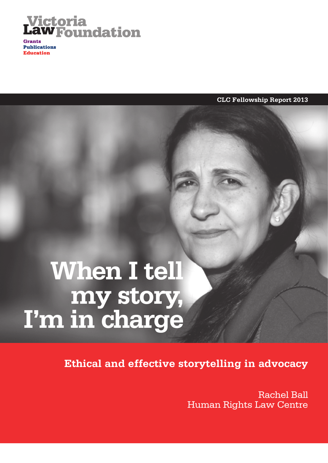

**Grants Publications Education** 

**CLC Fellowship Report 2013**

## **When I tell my story, I'm in charge**

**Ethical and effective storytelling in advocacy** 

Rachel Ball Human Rights Law Centre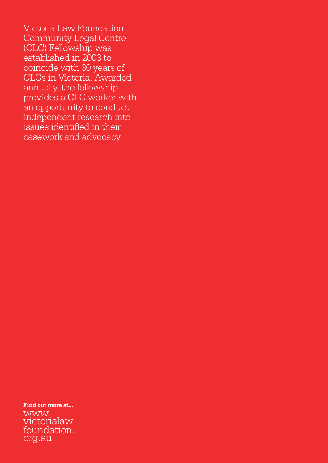Victoria Law Foundation Community Legal Centre (CLC) Fellowship was established in 2003 to coincide with 30 years of CLCs in Victoria. Awarded annually, the fellowship provides a CLC worker with an opportunity to conduct independent research into issues identified in their casework and advocacy.

**Find out more at...**

www. victorialaw [foundation.](mailto:www.victorialawfoundation.org.au) org.au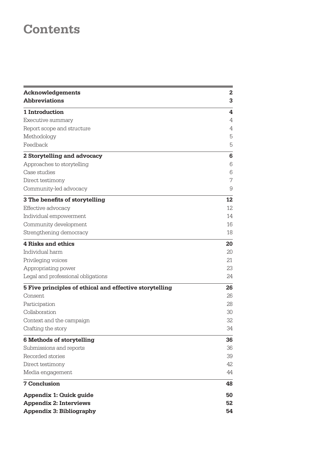## **Contents**

| <b>Acknowledgements</b>                                 | 2  |
|---------------------------------------------------------|----|
| <b>Abbreviations</b>                                    | 3  |
| 1 Introduction                                          | 4  |
| Executive summary                                       | 4  |
| Report scope and structure                              | 4  |
| Methodology                                             | 5  |
| Feedback                                                | 5  |
| 2 Storytelling and advocacy                             | 6  |
| Approaches to storytelling                              | 6  |
| Case studies                                            | 6  |
| Direct testimony                                        | 7  |
| Community-led advocacy                                  | 9  |
| 3 The benefits of storytelling                          | 12 |
| Effective advocacy                                      | 12 |
| Individual empowerment                                  | 14 |
| Community development                                   | 16 |
| Strengthening democracy                                 | 18 |
| <b>4 Risks and ethics</b>                               | 20 |
| Individual harm                                         | 20 |
| Privileging voices                                      | 21 |
| Appropriating power                                     | 23 |
| Legal and professional obligations                      | 24 |
| 5 Five principles of ethical and effective storytelling | 26 |
| Consent                                                 | 26 |
| Participation                                           | 28 |
| Collaboration                                           | 30 |
| Context and the campaign                                | 32 |
| Crafting the story                                      | 34 |
| 6 Methods of storytelling                               | 36 |
| Submissions and reports                                 | 36 |
| Recorded stories                                        | 39 |
| Direct testimony                                        | 42 |
| Media engagement                                        | 44 |
| <b>7 Conclusion</b>                                     | 48 |
| Appendix 1: Quick guide                                 | 50 |
| <b>Appendix 2: Interviews</b>                           | 52 |
| <b>Appendix 3: Bibliography</b>                         | 54 |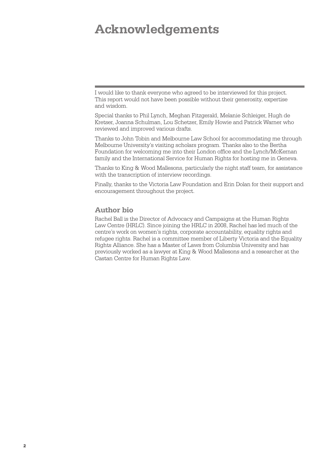### <span id="page-3-0"></span>**Acknowledgements**

I would like to thank everyone who agreed to be interviewed for this project. This report would not have been possible without their generosity, expertise and wisdom.

Special thanks to Phil Lynch, Meghan Fitzgerald, Melanie Schleiger, Hugh de Kretser, Joanna Schulman, Lou Schetzer, Emily Howie and Patrick Warner who reviewed and improved various drafts.

Thanks to John Tobin and Melbourne Law School for accommodating me through Melbourne University's visiting scholars program. Thanks also to the Bertha Foundation for welcoming me into their London office and the Lynch/McKernan family and the International Service for Human Rights for hosting me in Geneva.

Thanks to King & Wood Mallesons, particularly the night staff team, for assistance with the transcription of interview recordings.

Finally, thanks to the Victoria Law Foundation and Erin Dolan for their support and encouragement throughout the project.

#### **Author bio**

Rachel Ball is the Director of Advocacy and Campaigns at the Human Rights Law Centre (HRLC). Since joining the HRLC in 2008, Rachel has led much of the centre's work on women's rights, corporate accountability, equality rights and refugee rights. Rachel is a committee member of Liberty Victoria and the Equality Rights Alliance. She has a Master of Laws from Columbia University and has previously worked as a lawyer at King & Wood Mallesons and a researcher at the Castan Centre for Human Rights Law.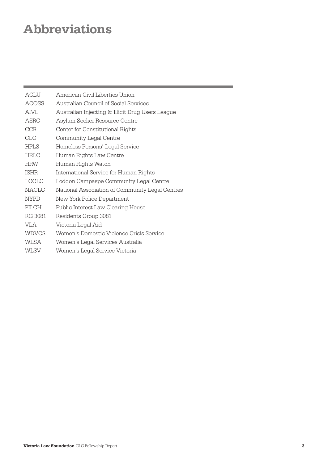## <span id="page-4-0"></span>**Abbreviations**

| ACLU         | American Civil Liberties Union                   |
|--------------|--------------------------------------------------|
| ACOSS        | Australian Council of Social Services            |
| <b>AIVL</b>  | Australian Injecting & Illicit Drug Users League |
| ASRC         | Asylum Seeker Resource Centre                    |
| <b>CCR</b>   | Center for Constitutional Rights                 |
| <b>CLC</b>   | Community Legal Centre                           |
| <b>HPLS</b>  | Homeless Persons' Legal Service                  |
| <b>HRLC</b>  | Human Rights Law Centre                          |
| <b>HRW</b>   | Human Rights Watch                               |
| <b>ISHR</b>  | International Service for Human Rights           |
| <b>LCCLC</b> | Loddon Campaspe Community Legal Centre           |
| <b>NACLC</b> | National Association of Community Legal Centres  |
| <b>NYPD</b>  | New York Police Department                       |
| PILCH        | Public Interest Law Clearing House               |
| RG 3081      | Residents Group 3081                             |
| VI A         | Victoria Legal Aid                               |
| <b>WDVCS</b> | Women's Domestic Violence Crisis Service         |
| WLSA         | Women's Legal Services Australia                 |
| WLSV         | Women's Legal Service Victoria                   |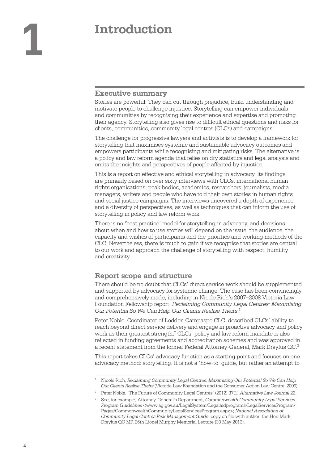# <span id="page-5-0"></span>**1 Introduction**

#### **Executive summary**

Stories are powerful. They can cut through prejudice, build understanding and motivate people to challenge injustice. Storytelling can empower individuals and communities by recognising their experience and expertise and promoting their agency. Storytelling also gives rise to difficult ethical questions and risks for clients, communities, community legal centres (CLCs) and campaigns.

The challenge for progressive lawyers and activists is to develop a framework for storytelling that maximises systemic and sustainable advocacy outcomes and empowers participants while recognising and mitigating risks. The alternative is a policy and law reform agenda that relies on dry statistics and legal analysis and omits the insights and perspectives of people affected by injustice.

This is a report on effective and ethical storytelling in advocacy. Its findings are primarily based on over sixty interviews with CLCs, international human rights organisations, peak bodies, academics, researchers, journalists, media managers, writers and people who have told their own stories in human rights and social justice campaigns. The interviews uncovered a depth of experience and a diversity of perspectives, as well as techniques that can inform the use of storytelling in policy and law reform work.

There is no 'best practice' model for storytelling in advocacy, and decisions about when and how to use stories will depend on the issue, the audience, the capacity and wishes of participants and the priorities and working methods of the CLC. Nevertheless, there is much to gain if we recognise that stories are central to our work and approach the challenge of storytelling with respect, humility and creativity.

#### **Report scope and structure**

There should be no doubt that CLCs' direct service work should be supplemented and supported by advocacy for systemic change. The case has been convincingly and comprehensively made, including in Nicole Rich's 2007–2008 Victoria Law Foundation Fellowship report, *Reclaiming Community Legal Centres: Maximising Our Potential So We Can Help Our Clients Realise Theirs*. 1

Peter Noble, Coordinator of Loddon Campaspe CLC, described CLCs' ability to reach beyond direct service delivery and engage in proactive advocacy and policy work as their greatest strength.<sup>2</sup> CLCs' policy and law reform mandate is also reflected in funding agreements and accreditation schemes and was approved in a recent statement from the former Federal Attorney-General, Mark Dreyfus QC.3

This report takes CLCs' advocacy function as a starting point and focuses on one advocacy method: storytelling. It is not a 'how-to' guide, but rather an attempt to

<sup>1</sup> Nicole Rich, *Reclaiming Community Legal Centres: Maximising Our Potential So We Can Help Our Clients Realise Theirs* (Victoria Law Foundation and the Consumer Action Law Centre, 2009).

<sup>2</sup> Peter Noble, 'The Future of Community Legal Centres' (2012) 37(1) *Alternative Law Journal* 22.

<sup>3</sup> See, for example, Attorney-General's Department, *Commonwealth Community Legal Services Program Guidelines* [<www.ag.gov.au/LegalSystem/Legalaidprograms/LegalServicesProgram/](http://www.ag.gov.au/LegalSystem/Legalaidprograms/LegalServicesProgram/Pages/CommonwealthCommunityLegalServicesProgram.aspx) [Pages/CommonwealthCommunityLegalServicesProgram.aspx>](http://www.ag.gov.au/LegalSystem/Legalaidprograms/LegalServicesProgram/Pages/CommonwealthCommunityLegalServicesProgram.aspx); *National Association of Community Legal Centres Risk Management Guide*, copy on file with author; the Hon Mark Dreyfus QC MP, 26th Lionel Murphy Memorial Lecture (30 May 2013).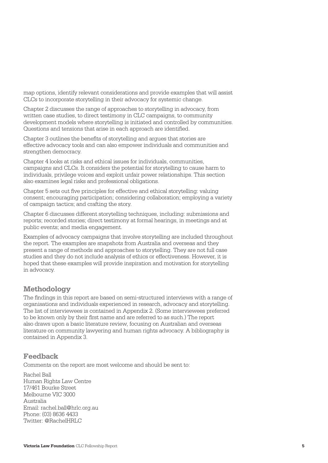<span id="page-6-0"></span>map options, identify relevant considerations and provide examples that will assist CLCs to incorporate storytelling in their advocacy for systemic change.

Chapter 2 discusses the range of approaches to storytelling in advocacy, from written case studies, to direct testimony in CLC campaigns, to community development models where storytelling is initiated and controlled by communities. Questions and tensions that arise in each approach are identified.

Chapter 3 outlines the benefits of storytelling and argues that stories are effective advocacy tools and can also empower individuals and communities and strengthen democracy.

Chapter 4 looks at risks and ethical issues for individuals, communities, campaigns and CLCs. It considers the potential for storytelling to cause harm to individuals, privilege voices and exploit unfair power relationships. This section also examines legal risks and professional obligations.

Chapter 5 sets out five principles for effective and ethical storytelling: valuing consent; encouraging participation; considering collaboration; employing a variety of campaign tactics; and crafting the story.

Chapter 6 discusses different storytelling techniques, including: submissions and reports; recorded stories; direct testimony at formal hearings, in meetings and at public events; and media engagement.

Examples of advocacy campaigns that involve storytelling are included throughout the report. The examples are snapshots from Australia and overseas and they present a range of methods and approaches to storytelling. They are not full case studies and they do not include analysis of ethics or effectiveness. However, it is hoped that these examples will provide inspiration and motivation for storytelling in advocacy.

#### **Methodology**

The findings in this report are based on semi-structured interviews with a range of organisations and individuals experienced in research, advocacy and storytelling. The list of interviewees is contained in Appendix 2. (Some interviewees preferred to be known only by their first name and are referred to as such.) The report also draws upon a basic literature review, focusing on Australian and overseas literature on community lawyering and human rights advocacy. A bibliography is contained in Appendix 3.

#### **Feedback**

Comments on the report are most welcome and should be sent to:

Rachel Ball Human Rights Law Centre 17/461 Bourke Street Melbourne VIC 3000 Australia Email: [rachel.ball@hrlc.org.au](mailto:rachel.ball@hrlc.org.au)  Phone: (03) 8636 4433 Twitter[: @RachelHRLC](https://twitter.com/RachelHRLC)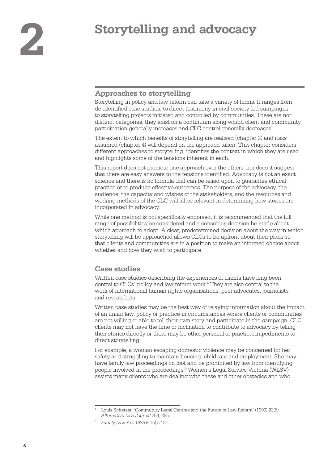## <span id="page-7-0"></span>**2 Storytelling and advocacy**

#### **Approaches to storytelling**

Storytelling in policy and law reform can take a variety of forms. It ranges from de-identified case studies, to direct testimony in civil-society-led campaigns, to storytelling projects initiated and controlled by communities. These are not distinct categories, they exist on a continuum along which client and community participation generally increases and CLC control generally decreases.

The extent to which benefits of storytelling are realised (chapter 3) and risks assumed (chapter 4) will depend on the approach taken. This chapter considers different approaches to storytelling, identifies the context in which they are used and highlights some of the tensions inherent in each.

This report does not promote one approach over the others, nor does it suggest that there are easy answers to the tensions identified. Advocacy is not an exact science and there is no formula that can be relied upon to guarantee ethical practice or to produce effective outcomes. The purpose of the advocacy, the audience, the capacity and wishes of the stakeholders, and the resources and working methods of the CLC will all be relevant in determining how stories are incorporated in advocacy.

While one method is not specifically endorsed, it is recommended that the full range of possibilities be considered and a conscious decision be made about which approach to adopt. A clear, predetermined decision about the way in which storytelling will be approached allows CLCs to be upfront about their plans so that clients and communities are in a position to make an informed choice about whether and how they wish to participate.

#### **Case studies**

Written case studies describing the experiences of clients have long been central to CLCs' policy and law reform work.<sup>4</sup> They are also central to the work of international human rights organisations, peer advocates, journalists and researchers.

Written case studies may be the best way of relaying information about the impact of an unfair law, policy or practice in circumstances where clients or communities are not willing or able to tell their own story and participate in the campaign. CLC clients may not have the time or inclination to contribute to advocacy by telling their stories directly or there may be other personal or practical impediments to direct storytelling.

For example, a woman escaping domestic violence may be concerned for her safety and struggling to maintain housing, childcare and employment. She may have family law proceedings on foot and be prohibited by law from identifying people involved in the proceedings.<sup>5</sup> Women's Legal Service Victoria (WLSV) assists many clients who are dealing with these and other obstacles and who

<sup>4</sup> Louis Schetzer, 'Community Legal Centres and the Future of Law Reform' (1999) 23(5) *Alternative Law Journal* 254, 255.

<sup>5</sup> *Family Law Act 1975* (Cth) s 121.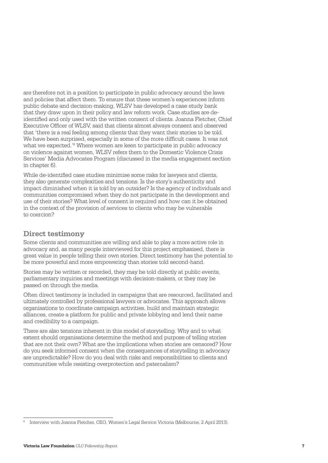<span id="page-8-0"></span>are therefore not in a position to participate in public advocacy around the laws and policies that affect them. To ensure that these women's experiences inform public debate and decision-making, WLSV has developed a case study bank that they draw upon in their policy and law reform work. Case studies are deidentified and only used with the written consent of clients. Joanna Fletcher, Chief Executive Officer of WLSV, said that clients almost always consent and observed that 'there is a real feeling among clients that they want their stories to be told. We have been surprised, especially in some of the more difficult cases. It was not what we expected.'<sup>6</sup> Where women are keen to participate in public advocacy on violence against women, WLSV refers them to the Domestic Violence Crisis Services' Media Advocates Program (discussed in the media engagement section in chapter 6).

While de-identified case studies minimise some risks for lawyers and clients, they also generate complexities and tensions. Is the story's authenticity and impact diminished when it is told by an outsider? Is the agency of individuals and communities compromised when they do not participate in the development and use of their stories? What level of consent is required and how can it be obtained in the context of the provision of services to clients who may be vulnerable to coercion?

#### **Direct testimony**

Some clients and communities are willing and able to play a more active role in advocacy and, as many people interviewed for this project emphasised, there is great value in people telling their own stories. Direct testimony has the potential to be more powerful and more empowering than stories told second-hand.

Stories may be written or recorded, they may be told directly at public events, parliamentary inquiries and meetings with decision-makers, or they may be passed on through the media.

Often direct testimony is included in campaigns that are resourced, facilitated and ultimately controlled by professional lawyers or advocates. This approach allows organisations to coordinate campaign activities, build and maintain strategic alliances, create a platform for public and private lobbying and lend their name and credibility to a campaign.

There are also tensions inherent in this model of storytelling. Why and to what extent should organisations determine the method and purpose of telling stories that are not their own? What are the implications when stories are censored? How do you seek informed consent when the consequences of storytelling in advocacy are unpredictable? How do you deal with risks and responsibilities to clients and communities while resisting overprotection and paternalism?

<sup>6</sup> Interview with Joanna Fletcher, CEO, Women's Legal Service Victoria (Melbourne, 2 April 2013).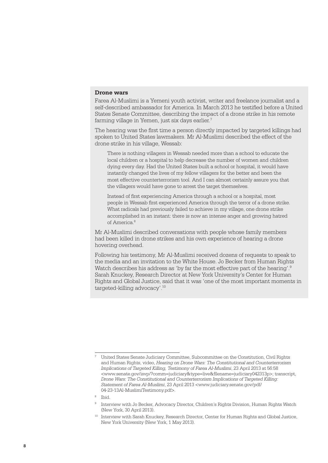#### **Drone wars**

Farea Al-Muslimi is a Yemeni youth activist, writer and freelance journalist and a self-described ambassador for America. In March 2013 he testified before a United States Senate Committee, describing the impact of a drone strike in his remote farming village in Yemen, just six days earlier.7

The hearing was the first time a person directly impacted by targeted killings had spoken to United States lawmakers. Mr Al-Muslimi described the effect of the drone strike in his village, Wessab:

There is nothing villagers in Wessab needed more than a school to educate the local children or a hospital to help decrease the number of women and children dying every day. Had the United States built a school or hospital, it would have instantly changed the lives of my fellow villagers for the better and been the most effective counterterrorism tool. And I can almost certainly assure you that the villagers would have gone to arrest the target themselves.

Instead of first experiencing America through a school or a hospital, most people in Wessab first experienced America through the terror of a drone strike. What radicals had previously failed to achieve in my village, one drone strike accomplished in an instant: there is now an intense anger and growing hatred of America.<sup>8</sup>

Mr Al-Muslimi described conversations with people whose family members had been killed in drone strikes and his own experience of hearing a drone hovering overhead.

Following his testimony, Mr Al-Muslimi received dozens of requests to speak to the media and an invitation to the White House. Jo Becker from Human Rights Watch describes his address as 'by far the most effective part of the hearing'.<sup>9</sup> Sarah Knuckey, Research Director at New York University's Center for Human Rights and Global Justice, said that it was 'one of the most important moments in targeted-killing advocacy'.10

<sup>8</sup> Ibid.

<sup>7</sup> United States Senate Judiciary Committee, Subcommittee on the Constitution, Civil Rights and Human Rights, video, *Hearing on Drone Wars: The Constitutional and Counterterrorism Implications of Targeted Killing, Testimony of Farea Al-Muslimi*, 23 April 2013 at 56:58 <[www.senate.gov/isvp/?comm=judiciary&type=live&filename=judiciary042313p](http://www.senate.gov/isvp/?comm=judiciary&type=live&filename=judiciary042313p)>; transcript, *Drone Wars: The Constitutional and Counterterrorism Implications of Targeted Killing: Statement of Farea Al-Muslimi*, 23 April 2013 [<www.judiciary.senate.gov/pdf/](http://www.judiciary.senate.gov/pdf/04-23-13Al-MuslimiTestimony.pdf) [04-23-13Al-MuslimiTestimony.pdf](http://www.judiciary.senate.gov/pdf/04-23-13Al-MuslimiTestimony.pdf)>.

<sup>9</sup> Interview with Jo Becker, Advocacy Director, Children's Rights Division, Human Rights Watch (New York, 30 April 2013).

<sup>&</sup>lt;sup>10</sup> Interview with Sarah Knuckey, Research Director, Center for Human Rights and Global Justice, New York University (New York, 1 May 2013).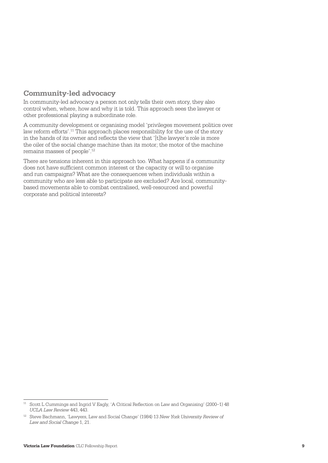#### <span id="page-10-0"></span>**Community-led advocacy**

In community-led advocacy a person not only tells their own story, they also control when, where, how and why it is told. This approach sees the lawyer or other professional playing a subordinate role.

A community development or organising model 'privileges movement politics over law reform efforts'.11 This approach places responsibility for the use of the story in the hands of its owner and reflects the view that '[t]he lawyer's role is more the oiler of the social change machine than its motor; the motor of the machine remains masses of people'.12

There are tensions inherent in this approach too. What happens if a community does not have sufficient common interest or the capacity or will to organise and run campaigns? What are the consequences when individuals within a community who are less able to participate are excluded? Are local, communitybased movements able to combat centralised, well-resourced and powerful corporate and political interests?

<sup>11</sup> Scott L Cummings and Ingrid V Eagly, 'A Critical Reflection on Law and Organising' (2000–1) 48 *UCLA Law Review* 443, 443.

<sup>12</sup> Steve Bachmann, 'Lawyers, Law and Social Change' (1984) 13 *New York University Review of Law and Social Change* 1, 21.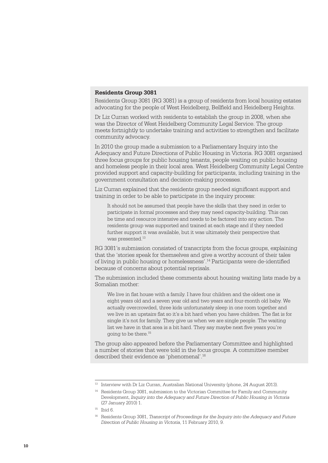#### **Residents Group 3081**

Residents Group 3081 (RG 3081) is a group of residents from local housing estates advocating for the people of West Heidelberg, Bellfield and Heidelberg Heights.

Dr Liz Curran worked with residents to establish the group in 2008, when she was the Director of West Heidelberg Community Legal Service. The group meets fortnightly to undertake training and activities to strengthen and facilitate community advocacy.

In 2010 the group made a submission to a Parliamentary Inquiry into the Adequacy and Future Directions of Public Housing in Victoria. RG 3081 organised three focus groups for public housing tenants, people waiting on public housing and homeless people in their local area. West Heidelberg Community Legal Centre provided support and capacity-building for participants, including training in the government consultation and decision-making processes.

Liz Curran explained that the residents group needed significant support and training in order to be able to participate in the inquiry process:

It should not be assumed that people have the skills that they need in order to participate in formal processes and they may need capacity-building. This can be time and resource intensive and needs to be factored into any action. The residents group was supported and trained at each stage and if they needed further support it was available, but it was ultimately their perspective that was presented.<sup>13</sup>

RG 3081's submission consisted of transcripts from the focus groups, explaining that the 'stories speak for themselves and give a worthy account of their tales of living in public housing or homelessness'.14 Participants were de-identified because of concerns about potential reprisals.

The submission included these comments about housing waiting lists made by a Somalian mother:

We live in flat house with a family. I have four children and the oldest one is eight years old and a seven year old and two years and four-month old baby. We actually overcrowded, three kids unfortunately sleep in one room together and we live in an upstairs flat so it's a bit hard when you have children. The flat is for single it's not for family. They give us when we are single people. The waiting list we have in that area is a bit hard. They say maybe next five years you're going to be there.15

The group also appeared before the Parliamentary Committee and highlighted a number of stories that were told in the focus groups. A committee member described their evidence as 'phenomenal'.<sup>16</sup>

<sup>&</sup>lt;sup>13</sup> Interview with Dr Liz Curran, Australian National University (phone, 24 August 2013).

<sup>&</sup>lt;sup>14</sup> Residents Group 3081, submission to the Victorian Committee for Family and Community Development, *Inquiry into the Adequacy and Future Direction of Public Housing in Victoria* (27 January 2010) 1.

 $15$  Ibid 6.

<sup>16</sup> Residents Group 3081, *Transcript of Proceedings for the Inquiry into the Adequacy and Future Direction of Public Housing in Victoria*, 11 February 2010, 9.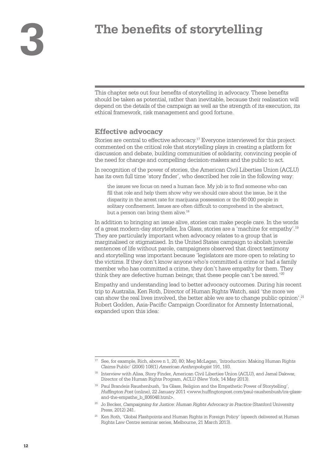<span id="page-13-0"></span>This chapter sets out four benefits of storytelling in advocacy. These benefits should be taken as potential, rather than inevitable, because their realisation will depend on the details of the campaign as well as the strength of its execution, its ethical framework, risk management and good fortune.

#### **Effective advocacy**

Stories are central to effective advocacy.17 Everyone interviewed for this project commented on the critical role that storytelling plays in creating a platform for discussion and debate, building communities of solidarity, convincing people of the need for change and compelling decision-makers and the public to act.

In recognition of the power of stories, the American Civil Liberties Union (ACLU) has its own full time 'story finder', who described her role in the following way:

the issues we focus on need a human face. My job is to find someone who can fill that role and help them show why we should care about the issue, be it the disparity in the arrest rate for marijuana possession or the 80 000 people in solitary confinement. Issues are often difficult to comprehend in the abstract, but a person can bring them alive.<sup>18</sup>

In addition to bringing an issue alive, stories can make people care. In the words of a great modern-day storyteller, Ira Glass, stories are a 'machine for empathy'.19 They are particularly important when advocacy relates to a group that is marginalised or stigmatised. In the United States campaign to abolish juvenile sentences of life without parole, campaigners observed that direct testimony and storytelling was important because 'legislators are more open to relating to the victims. If they don't know anyone who's committed a crime or had a family member who has committed a crime, they don't have empathy for them. They think they are defective human beings; that these people can't be saved.'<sup>20</sup>

Empathy and understanding lead to better advocacy outcomes. During his recent trip to Australia, Ken Roth, Director of Human Rights Watch, said 'the more we can show the real lives involved, the better able we are to change public opinion'.<sup>21</sup> Robert Godden, Asia-Pacific Campaign Coordinator for Amnesty International, expanded upon this idea:

<sup>17</sup> See, for example, Rich, above n 1, 20, 80; Meg McLagan, 'Introduction: Making Human Rights Claims Public' (2006) 108(1) *American Anthropologist* 191, 193.

<sup>18</sup> Interview with Alisa, Story Finder, American Civil Liberties Union (ACLU), and Jamal Dakwar, Director of the Human Rights Program, ACLU (New York, 14 May 2013).

<sup>19</sup> Paul Brandeis Raushenbush, 'Ira Glass, Religion and the Empathetic Power of Storytelling', *Huffington Post* (online), 22 January 2011 [<www.huffingtonpost.com/paul-raushenbush/ira-glass](http://www.huffingtonpost.com/paul-raushenbush/ira-glass-and-the-empathe_b_806048.html)[and-the-empathe\\_b\\_806048.html>](http://www.huffingtonpost.com/paul-raushenbush/ira-glass-and-the-empathe_b_806048.html).

<sup>20</sup> Jo Becker, *Campaigning for Justice: Human Rights Advocacy in Practice* (Stanford University Press, 2012) 241.

<sup>21</sup> Ken Roth, 'Global Flashpoints and Human Rights in Foreign Policy' (speech delivered at Human Rights Law Centre seminar series, Melbourne, 21 March 2013).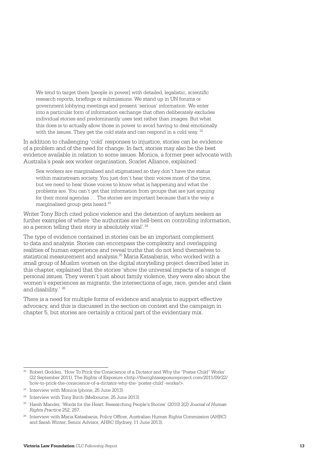We tend to target them [people in power] with detailed, legalistic, scientific research reports, briefings or submissions. We stand up in UN forums or government lobbying meetings and present 'serious' information. We enter into a particular form of information exchange that often deliberately excludes individual stories and predominantly uses text rather than images. But what this does is to actually allow those in power to avoid having to deal emotionally with the issues. They get the cold stats and can respond in a cold way. <sup>22</sup>

In addition to challenging 'cold' responses to injustice, stories can be evidence of a problem and of the need for change. In fact, stories may also be the best evidence available in relation to some issues. Monica, a former peer advocate with Australia's peak sex worker organisation, Scarlet Alliance, explained:

Sex workers are marginalised and stigmatised so they don't have the status within mainstream society. You just don't hear their voices most of the time, but we need to hear those voices to know what is happening and what the problems are. You can't get that information from groups that are just arguing for their moral agendas … The stories are important because that's the way a marginalised group gets heard.23

Writer Tony Birch cited police violence and the detention of asylum seekers as further examples of where 'the authorities are hell-bent on controlling information, so a person telling their story is absolutely vital'.<sup>24</sup>

The type of evidence contained in stories can be an important complement to data and analysis. Stories can encompass the complexity and overlapping realities of human experience and reveal truths that do not lend themselves to statistical measurement and analysis.25 Maria Katsabanis, who worked with a small group of Muslim women on the digital storytelling project described later in this chapter, explained that the stories 'show the universal impacts of a range of personal issues. They weren't just about family violence, they were also about the women's experiences as migrants, the intersections of age, race, gender and class and disability.' 26

There is a need for multiple forms of evidence and analysis to support effective advocacy, and this is discussed in the section on context and the campaign in chapter 5, but stories are certainly a critical part of the evidentiary mix.

<sup>&</sup>lt;sup>22</sup> Robert Godden, 'How To Prick the Conscience of a Dictator and Why the "Poster Child" Works' (22 September 2011), The Rights of Exposure [<http://therightsexposureproject.com/2011/09/22/](http://therightsexposureproject.com/2011/09/22/how-to-prick-the-conscience-of-a-dictator-why-the-%E2%80%98poster-child%E2%80%99-works/) [how-to-prick-the-conscience-of-a-dictator-why-the-'poster-child'-works/>](http://therightsexposureproject.com/2011/09/22/how-to-prick-the-conscience-of-a-dictator-why-the-%E2%80%98poster-child%E2%80%99-works/).

<sup>&</sup>lt;sup>23</sup> Interview with Monica (phone, 25 June 2013).

<sup>&</sup>lt;sup>24</sup> Interview with Tony Birch (Melbourne, 25 June 2013).

<sup>25</sup> Harsh Mander, 'Words for the Heart: Researching People's Stories' (2010) 2(2) *Journal of Human Rights Practice* 252, 257.

<sup>26</sup> Interview with Maria Katsabanis, Policy Officer, Australian Human Rights Commission (AHRC) and Sarah Winter, Senior Advisor, AHRC (Sydney, 11 June 2013).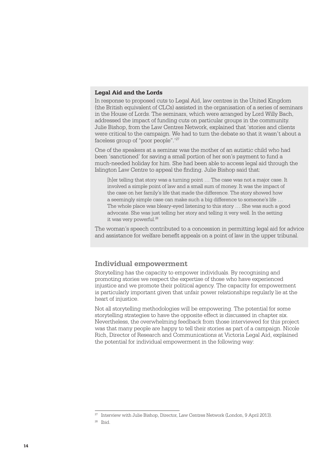#### <span id="page-15-0"></span>**Legal Aid and the Lords**

In response to proposed cuts to Legal Aid, law centres in the United Kingdom (the British equivalent of CLCs) assisted in the organisation of a series of seminars in the House of Lords. The seminars, which were arranged by Lord Willy Bach, addressed the impact of funding cuts on particular groups in the community. Julie Bishop, from the Law Centres Network, explained that 'stories and clients were critical to the campaign. We had to turn the debate so that it wasn't about a faceless group of "poor people".'27

One of the speakers at a seminar was the mother of an autistic child who had been 'sanctioned' for saving a small portion of her son's payment to fund a much-needed holiday for him. She had been able to access legal aid through the Islington Law Centre to appeal the finding. Julie Bishop said that:

[h]er telling that story was a turning point … The case was not a major case. It involved a simple point of law and a small sum of money. It was the impact of the case on her family's life that made the difference. The story showed how a seemingly simple case can make such a big difference to someone's life … The whole place was bleary-eyed listening to this story … She was such a good advocate. She was just telling her story and telling it very well. In the setting it was very powerful.<sup>28</sup>

The woman's speech contributed to a concession in permitting legal aid for advice and assistance for welfare benefit appeals on a point of law in the upper tribunal.

#### **Individual empowerment**

Storytelling has the capacity to empower individuals. By recognising and promoting stories we respect the expertise of those who have experienced injustice and we promote their political agency. The capacity for empowerment is particularly important given that unfair power relationships regularly lie at the heart of injustice.

Not all storytelling methodologies will be empowering. The potential for some storytelling strategies to have the opposite effect is discussed in chapter six. Nevertheless, the overwhelming feedback from those interviewed for this project was that many people are happy to tell their stories as part of a campaign. Nicole Rich, Director of Research and Communications at Victoria Legal Aid, explained the potential for individual empowerment in the following way:

<sup>&</sup>lt;sup>27</sup> Interview with Julie Bishop, Director, Law Centres Network (London, 9 April 2013).

 $28$  Ibid.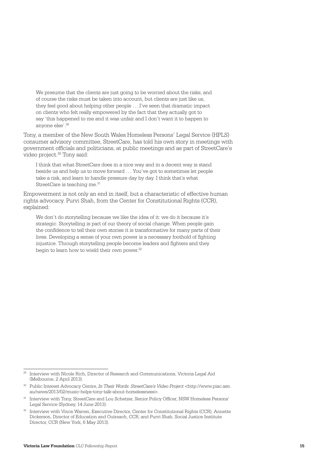We presume that the clients are just going to be worried about the risks, and of course the risks must be taken into account, but clients are just like us, they feel good about helping other people … I've seen that dramatic impact on clients who felt really empowered by the fact that they actually got to say 'this happened to me and it was unfair and I don't want it to happen to anyone else'.29

Tony, a member of the New South Wales Homeless Persons' Legal Service (HPLS) consumer advisory committee, StreetCare, has told his own story in meetings with government officials and politicians, at public meetings and as part of StreetCare's video project.<sup>30</sup> Tony said:

I think that what StreetCare does in a nice way and in a decent way is stand beside us and help us to move forward … You've got to sometimes let people take a risk, and learn to handle pressure day by day. I think that's what StreetCare is teaching me.<sup>31</sup>

Empowerment is not only an end in itself, but a characteristic of effective human rights advocacy. Purvi Shah, from the Center for Constitutional Rights (CCR), explained:

We don't do storytelling because we like the idea of it: we do it because it's strategic. Storytelling is part of our theory of social change. When people gain the confidence to tell their own stories it is transformative for many parts of their lives. Developing a sense of your own power is a necessary foothold of fighting injustice. Through storytelling people become leaders and fighters and they begin to learn how to wield their own power.<sup>32</sup>

<sup>&</sup>lt;sup>29</sup> Interview with Nicole Rich, Director of Research and Communications, Victoria Legal Aid (Melbourne, 2 April 2013).

<sup>30</sup> Public Interest Advocacy Centre, *In Their Words: StreetCare's Video Project* <[http://www.piac.asn.](http://www.piac.asn.au/news/2013/02/music-helps-tony-talk-about-homelessness) [au/news/2013/02/music-helps-tony-talk-about-homelessness>.](http://www.piac.asn.au/news/2013/02/music-helps-tony-talk-about-homelessness) 

<sup>31</sup> Interview with Tony, StreetCare and Lou Schetzer, Senior Policy Officer, NSW Homeless Persons' Legal Service (Sydney, 14 June 2013).

Interview with Vince Warren, Executive Director, Center for Constitutional Rights (CCR), Annette Dickerson, Director of Education and Outreach, CCR, and Purvi Shah, Social Justice Institute Director, CCR (New York, 6 May 2013).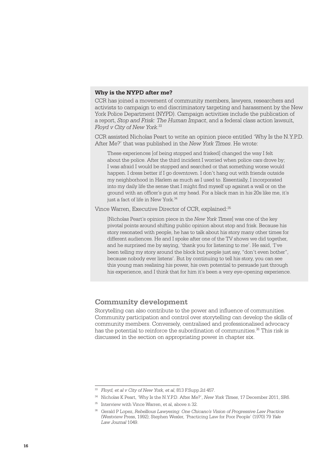#### <span id="page-17-0"></span>**Why is the NYPD after me?**

CCR has joined a movement of community members, lawyers, researchers and activists to campaign to end discriminatory targeting and harassment by the New York Police Department (NYPD). Campaign activities include the publication of a report, *Stop and Frisk: The Human Impact*, and a federal class action lawsuit, *Floyd v City of New York*. 33

CCR assisted Nicholas Peart to write an opinion piece entitled 'Why Is the N.Y.P.D. After Me?' that was published in the *New York Times*. He wrote:

These experiences [of being stopped and frisked] changed the way I felt about the police. After the third incident I worried when police cars drove by; I was afraid I would be stopped and searched or that something worse would happen. I dress better if I go downtown. I don't hang out with friends outside my neighborhood in Harlem as much as I used to. Essentially, I incorporated into my daily life the sense that I might find myself up against a wall or on the ground with an officer's gun at my head. For a black man in his 20s like me, it's just a fact of life in New York.<sup>34</sup>

Vince Warren, Executive Director of CCR, explained:35

[Nicholas Peart's opinion piece in the *New York Times*] was one of the key pivotal points around shifting public opinion about stop and frisk. Because his story resonated with people, he has to talk about his story many other times for different audiences. He and I spoke after one of the TV shows we did together, and he surprised me by saying, 'thank you for listening to me'. He said, 'I've been telling my story around the block but people just say, "don't even bother", because nobody ever listens'. But by continuing to tell his story, you can see this young man realising his power, his own potential to persuade just through his experience, and I think that for him it's been a very eye-opening experience.

#### **Community development**

Storytelling can also contribute to the power and influence of communities. Community participation and control over storytelling can develop the skills of community members. Conversely, centralised and professionalised advocacy has the potential to reinforce the subordination of communities.<sup>36</sup> This risk is discussed in the section on appropriating power in chapter six.

<sup>33</sup> *Floyd, et al v City of New York, et al*, 813 F.Supp.2d 457.

<sup>34</sup> Nicholas K Peart, 'Why Is the N.Y.P.D. After Me?', *New York Times*, 17 December 2011, SR6.

<sup>&</sup>lt;sup>35</sup> Interview with Vince Warren, et al, above n 32.

<sup>36</sup> Gerald P Lopez, *Rebellious Lawyering: One Chicano's Vision of Progressive Law Practice* (Westview Press, 1992); Stephen Wexler, 'Practicing Law for Poor People' (1970) 79 *Yale Law Journal* 1049.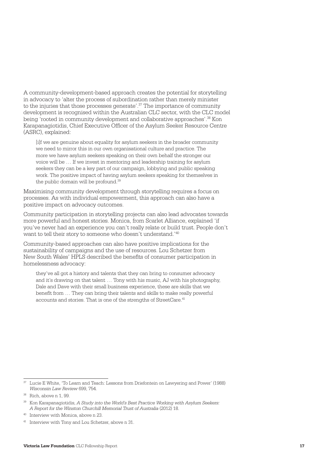A community-development-based approach creates the potential for storytelling in advocacy to 'alter the process of subordination rather than merely minister to the injuries that those processes generate'.<sup>37</sup> The importance of community development is recognised within the Australian CLC sector, with the CLC model being 'rooted in community development and collaborative approaches'.38 Kon Karapanagiotidis, Chief Executive Officer of the Asylum Seeker Resource Centre (ASRC), explained:

[i]f we are genuine about equality for asylum seekers in the broader community we need to mirror this in our own organisational culture and practice. The more we have asylum seekers speaking on their own behalf the stronger our voice will be … If we invest in mentoring and leadership training for asylum seekers they can be a key part of our campaign, lobbying and public speaking work. The positive impact of having asylum seekers speaking for themselves in the public domain will be profound.<sup>39</sup>

Maximising community development through storytelling requires a focus on processes. As with individual empowerment, this approach can also have a positive impact on advocacy outcomes.

Community participation in storytelling projects can also lead advocates towards more powerful and honest stories. Monica, from Scarlet Alliance, explained 'if you've never had an experience you can't really relate or build trust. People don't want to tell their story to someone who doesn't understand.'40

Community-based approaches can also have positive implications for the sustainability of campaigns and the use of resources. Lou Schetzer from New South Wales' HPLS described the benefits of consumer participation in homelessness advocacy:

they've all got a history and talents that they can bring to consumer advocacy and it's drawing on that talent … Tony with his music, AJ with his photography, Dale and Dave with their small business experience, these are skills that we benefit from … They can bring their talents and skills to make really powerful accounts and stories. That is one of the strengths of StreetCare.<sup>41</sup>

<sup>37</sup> Lucie E White, 'To Learn and Teach: Lessons from Driefontein on Lawyering and Power' (1988) *Wisconsin Law Review* 699, 754.

<sup>38</sup> Rich, above n 1, 99.

<sup>39</sup> Kon Karapanagiotidis, *A Study into the World's Best Practice Working with Asylum Seekers: A Report for the Winston Churchill Memorial Trust of Australia* (2012) 18.

<sup>40</sup> Interview with Monica, above n 23.

<sup>41</sup> Interview with Tony and Lou Schetzer, above n 31.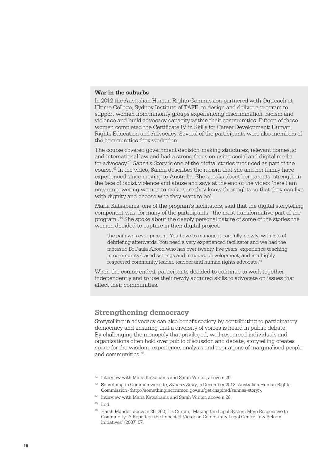#### <span id="page-19-0"></span>**War in the suburbs**

In 2012 the Australian Human Rights Commission partnered with Outreach at Ultimo College, Sydney Institute of TAFE, to design and deliver a program to support women from minority groups experiencing discrimination, racism and violence and build advocacy capacity within their communities. Fifteen of these women completed the Certificate IV in Skills for Career Development: Human Rights Education and Advocacy. Several of the participants were also members of the communities they worked in.

The course covered government decision-making structures, relevant domestic and international law and had a strong focus on using social and digital media for advocacy.42 *Sanna's Story* is one of the digital stories produced as part of the course.43 In the video, Sanna describes the racism that she and her family have experienced since moving to Australia. She speaks about her parents' strength in the face of racist violence and abuse and says at the end of the video: 'here I am now empowering women to make sure they know their rights so that they can live with dignity and choose who they want to be'.

Maria Katsabanis, one of the program's facilitators, said that the digital storytelling component was, for many of the participants, 'the most transformative part of the program'.44 She spoke about the deeply personal nature of some of the stories the women decided to capture in their digital project:

the pain was ever-present. You have to manage it carefully, slowly, with lots of debriefing afterwards. You need a very experienced facilitator and we had the fantastic Dr Paula Abood who has over twenty-five years' experience teaching in community-based settings and in course development, and is a highly respected community leader, teacher and human rights advocate.45

When the course ended, participants decided to continue to work together independently and to use their newly acquired skills to advocate on issues that affect their communities.

#### **Strengthening democracy**

Storytelling in advocacy can also benefit society by contributing to participatory democracy and ensuring that a diversity of voices is heard in public debate. By challenging the monopoly that privileged, well-resourced individuals and organisations often hold over public discussion and debate, storytelling creates space for the wisdom, experience, analysis and aspirations of marginalised people and communities  $46$ 

<sup>42</sup> Interview with Maria Katsabanis and Sarah Winter, above n 26.

<sup>43</sup> Something in Common website, *Sanna's Story*, 5 December 2012, Australian Human Rights Commission [<http://somethingincommon.gov.au/get-inspired/sannas-story>](http://somethingincommon.gov.au/get-inspired/sannas-story).

<sup>44</sup> Interview with Maria Katsabanis and Sarah Winter, above n 26.

<sup>45</sup> Ibid.

<sup>46</sup> Harsh Mander, above n 25, 260; Liz Curran, 'Making the Legal System More Responsive to Community: A Report on the Impact of Victorian Community Legal Centre Law Reform Initiatives' (2007) 67.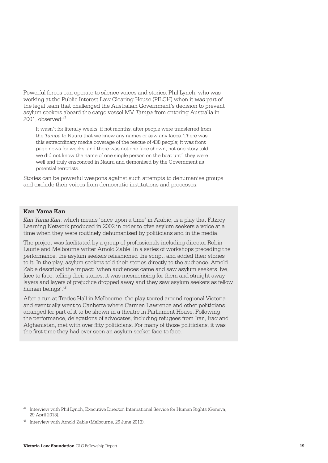Powerful forces can operate to silence voices and stories. Phil Lynch, who was working at the Public Interest Law Clearing House (PILCH) when it was part of the legal team that challenged the Australian Government's decision to prevent asylum seekers aboard the cargo vessel MV *Tampa* from entering Australia in 2001, observed:47

It wasn't for literally weeks, if not months, after people were transferred from the *Tampa* to Nauru that we knew any names or saw any faces. There was this extraordinary media coverage of the rescue of 438 people; it was front page news for weeks, and there was not one face shown, not one story told; we did not know the name of one single person on the boat until they were well and truly ensconced in Nauru and demonised by the Government as potential terrorists.

Stories can be powerful weapons against such attempts to dehumanise groups and exclude their voices from democratic institutions and processes.

#### **Kan Yama Kan**

*Kan Yama Kan*, which means 'once upon a time' in Arabic, is a play that Fitzroy Learning Network produced in 2002 in order to give asylum seekers a voice at a time when they were routinely dehumanised by politicians and in the media.

The project was facilitated by a group of professionals including director Robin Laurie and Melbourne writer Arnold Zable. In a series of workshops preceding the performance, the asylum seekers refashioned the script, and added their stories to it. In the play, asylum seekers told their stories directly to the audience. Arnold Zable described the impact:'when audiences came and saw asylum seekers live, face to face, telling their stories, it was mesmerising for them and straight away layers and layers of prejudice dropped away and they saw asylum seekers as fellow human beings'.<sup>48</sup>

After a run at Trades Hall in Melbourne, the play toured around regional Victoria and eventually went to Canberra where Carmen Lawrence and other politicians arranged for part of it to be shown in a theatre in Parliament House. Following the performance, delegations of advocates, including refugees from Iran, Iraq and Afghanistan, met with over fifty politicians. For many of those politicians, it was the first time they had ever seen an asylum seeker face to face.

<sup>47</sup> Interview with Phil Lynch, Executive Director, International Service for Human Rights (Geneva, 29 April 2013).

<sup>&</sup>lt;sup>48</sup> Interview with Arnold Zable (Melbourne, 26 June 2013).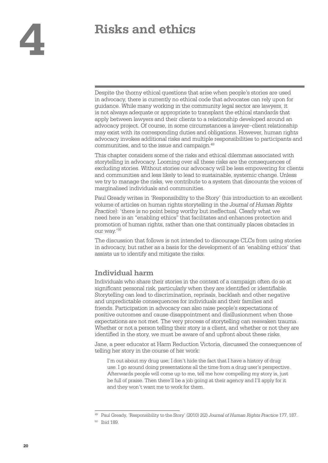## <span id="page-21-0"></span>**4 Risks and ethics**

Despite the thorny ethical questions that arise when people's stories are used in advocacy, there is currently no ethical code that advocates can rely upon for guidance. While many working in the community legal sector are lawyers, it is not always adequate or appropriate to transplant the ethical standards that apply between lawyers and their clients to a relationship developed around an advocacy project. Of course, in some circumstances a lawyer–client relationship may exist with its corresponding duties and obligations. However, human rights advocacy invokes additional risks and multiple responsibilities to participants and communities, and to the issue and campaign.49

This chapter considers some of the risks and ethical dilemmas associated with storytelling in advocacy. Looming over all these risks are the consequences of excluding stories. Without stories our advocacy will be less empowering for clients and communities and less likely to lead to sustainable, systemic change. Unless we try to manage the risks, we contribute to a system that discounts the voices of marginalised individuals and communities.

Paul Gready writes in 'Responsibility to the Story' (his introduction to an excellent volume of articles on human rights storytelling in the *Journal of Human Rights Practice*): 'there is no point being worthy but ineffectual. Clearly what we need here is an "enabling ethics" that facilitates and enhances protection and promotion of human rights, rather than one that continually places obstacles in our way.'50

The discussion that follows is not intended to discourage CLCs from using stories in advocacy, but rather as a basis for the development of an 'enabling ethics' that assists us to identify and mitigate the risks.

#### **Individual harm**

Individuals who share their stories in the context of a campaign often do so at significant personal risk, particularly when they are identified or identifiable. Storytelling can lead to discrimination, reprisals, backlash and other negative and unpredictable consequences for individuals and their families and friends. Participation in advocacy can also raise people's expectations of positive outcomes and cause disappointment and disillusionment when those expectations are not met. The very process of storytelling can reawaken trauma. Whether or not a person telling their story is a client, and whether or not they are identified in the story, we must be aware of and upfront about these risks.

Jane, a peer educator at Harm Reduction Victoria, discussed the consequences of telling her story in the course of her work:

I'm out about my drug use; I don't hide the fact that I have a history of drug use. I go around doing presentations all the time from a drug user's perspective. Afterwards people will come up to me, tell me how compelling my story is, just be full of praise. Then there'll be a job going at their agency and I'll apply for it and they won't want me to work for them.

<sup>49</sup> Paul Gready, 'Responsibility to the Story' (2010) 2(2) *Journal of Human Rights Practice* 177, 187.

<sup>50</sup> Ibid 189.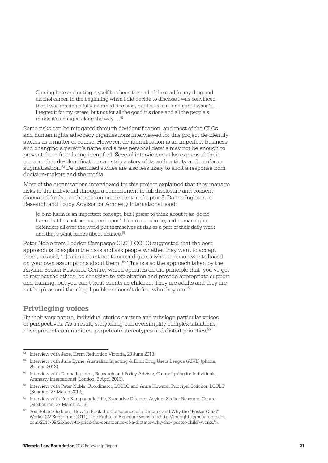<span id="page-22-0"></span>Coming here and outing myself has been the end of the road for my drug and alcohol career. In the beginning when I did decide to disclose I was convinced that I was making a fully informed decision, but I guess in hindsight I wasn't … I regret it for my career, but not for all the good it's done and all the people's minds it's changed along the way ...<sup>51</sup>

Some risks can be mitigated through de-identification, and most of the CLCs and human rights advocacy organisations interviewed for this project de-identify stories as a matter of course. However, de-identification is an imperfect business and changing a person's name and a few personal details may not be enough to prevent them from being identified. Several interviewees also expressed their concern that de-identification can strip a story of its authenticity and reinforce stigmatisation.52 De-identified stories are also less likely to elicit a response from decision-makers and the media.

Most of the organisations interviewed for this project explained that they manage risks to the individual through a commitment to full disclosure and consent, discussed further in the section on consent in chapter 5. Danna Ingleton, a Research and Policy Advisor for Amnesty International, said:

[d]o no harm is an important concept, but I prefer to think about it as 'do no harm that has not been agreed upon'. It's not our choice, and human rights defenders all over the world put themselves at risk as a part of their daily work and that's what brings about change.<sup>53</sup>

Peter Noble from Loddon Campaspe CLC (LCCLC) suggested that the best approach is to explain the risks and ask people whether they want to accept them, he said, '[i]t's important not to second-guess what a person wants based on your own assumptions about them'.54 This is also the approach taken by the Asylum Seeker Resource Centre, which operates on the principle that 'you've got to respect the ethics, be sensitive to exploitation and provide appropriate support and training, but you can't treat clients as children. They are adults and they are not helpless and their legal problem doesn't define who they are.'55

#### **Privileging voices**

By their very nature, individual stories capture and privilege particular voices or perspectives. As a result, storytelling can oversimplify complex situations, misrepresent communities, perpetuate stereotypes and distort priorities.<sup>56</sup>

<sup>51</sup> Interview with Jane, Harm Reduction Victoria, 20 June 2013.

 $52$  Interview with Jude Byrne, Australian Injecting & Illicit Drug Users League (AIVL) (phone, 26 June 2013).

<sup>&</sup>lt;sup>53</sup> Interview with Danna Ingleton, Research and Policy Advisor, Campaigning for Individuals, Amnesty International (London, 8 April 2013).

<sup>54</sup> Interview with Peter Noble, Coordinator, LCCLC and Anna Howard, Principal Solicitor, LCCLC (Bendigo, 27 March 2013).

<sup>55</sup> Interview with Kon Karapanagiotidis, Executive Director, Asylum Seeker Resource Centre (Melbourne, 27 March 2013).

<sup>56</sup> See Robert Godden, 'How To Prick the Conscience of a Dictator and Why the "Poster Child" Works' (22 September 2011), The Rights of Exposure website [<http://therightsexposureproject.](http://therightsexposureproject.com/2011/09/22/how-to-prick-the-conscience-of-a-dictator-why-the-%E2%80%98poster-child%E2%80%99-works/) [com/2011/09/22/how-to-prick-the-conscience-of-a-dictator-why-the-'poster-child'-works/>](http://therightsexposureproject.com/2011/09/22/how-to-prick-the-conscience-of-a-dictator-why-the-%E2%80%98poster-child%E2%80%99-works/).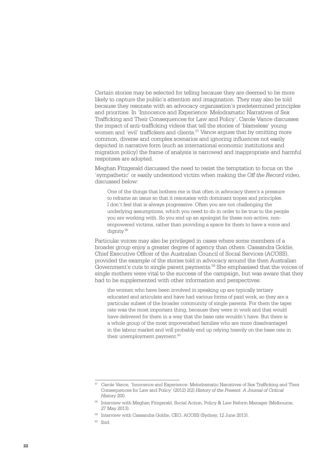Certain stories may be selected for telling because they are deemed to be more likely to capture the public's attention and imagination. They may also be told because they resonate with an advocacy organisation's predetermined principles and priorities. In 'Innocence and Experience: Melodramatic Narratives of Sex Trafficking and Their Consequences for Law and Policy', Carole Vance discusses the impact of anti-trafficking videos that tell the stories of 'blameless' young women and 'evil' traffickers and clients.<sup>57</sup> Vance argues that by omitting more common, diverse and complex scenarios and ignoring influences not easily depicted in narrative form (such as international economic institutions and migration policy) the frame of analysis is narrowed and inappropriate and harmful responses are adopted.

Meghan Fitzgerald discussed the need to resist the temptation to focus on the 'sympathetic' or easily understood victim when making the *Off the Record* video, discussed below:

One of the things that bothers me is that often in advocacy there's a pressure to reframe an issue so that it resonates with dominant tropes and principles. I don't feel that is always progressive. Often you are not challenging the underlying assumptions, which you need to do in order to be true to the people you are working with. So you end up an apologist for these non-active, nonempowered victims, rather than providing a space for them to have a voice and dignity.58

Particular voices may also be privileged in cases where some members of a broader group enjoy a greater degree of agency than others. Cassandra Goldie, Chief Executive Officer of the Australian Council of Social Services (ACOSS), provided the example of the stories told in advocacy around the then Australian Government's cuts to single parent payments.59 She emphasised that the voices of single mothers were vital to the success of the campaign, but was aware that they had to be supplemented with other information and perspectives:

the women who have been involved in speaking up are typically tertiary educated and articulate and have had various forms of paid work, so they are a particular subset of the broader community of single parents. For them the taper rate was the most important thing, because they were in work and that would have delivered for them in a way that the base rate wouldn't have. But there is a whole group of the most impoverished families who are more disadvantaged in the labour market and will probably end up relying heavily on the base rate in their unemployment payment.<sup>60</sup>

<sup>57</sup> Carole Vance, 'Innocence and Experience: Melodramatic Narratives of Sex Trafficking and Their Consequences for Law and Policy' (2012) 2(2) *History of the Present: A Journal of Critical History* 200.

<sup>58</sup> Interview with Meghan Fitzgerald, Social Action, Policy & Law Reform Manager (Melbourne, 27 May 2013).

<sup>&</sup>lt;sup>59</sup> Interview with Cassandra Goldie, CEO, ACOSS (Sydney, 12 June 2013).

 $60$  Ibid.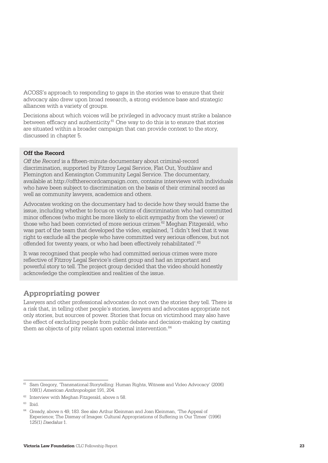<span id="page-24-0"></span>ACOSS's approach to responding to gaps in the stories was to ensure that their advocacy also drew upon broad research, a strong evidence base and strategic alliances with a variety of groups.

Decisions about which voices will be privileged in advocacy must strike a balance between efficacy and authenticity. $61$  One way to do this is to ensure that stories are situated within a broader campaign that can provide context to the story, discussed in chapter 5.

#### **Off the Record**

*Off the Record* is a fifteen-minute documentary about criminal-record discrimination, supported by Fitzroy Legal Service, Flat Out, Youthlaw and Flemington and Kensington Community Legal Service. The documentary, available at<http://offtherecordcampaign.com>, contains interviews with individuals who have been subject to discrimination on the basis of their criminal record as well as community lawyers, academics and others.

Advocates working on the documentary had to decide how they would frame the issue, including whether to focus on victims of discrimination who had committed minor offences (who might be more likely to elicit sympathy from the viewer) or those who had been convicted of more serious crimes.62 Meghan Fitzgerald, who was part of the team that developed the video, explained, 'I didn't feel that it was right to exclude all the people who have committed very serious offences, but not offended for twenty years, or who had been effectively rehabilitated'.<sup>63</sup>

It was recognised that people who had committed serious crimes were more reflective of Fitzroy Legal Service's client group and had an important and powerful story to tell. The project group decided that the video should honestly acknowledge the complexities and realities of the issue.

#### **Appropriating power**

Lawyers and other professional advocates do not own the stories they tell. There is a risk that, in telling other people's stories, lawyers and advocates appropriate not only stories, but sources of power. Stories that focus on victimhood may also have the effect of excluding people from public debate and decision-making by casting them as objects of pity reliant upon external intervention. $64$ 

<sup>61</sup> Sam Gregory, 'Transnational Storytelling: Human Rights, Witness and Video Advocacy' (2006) 108(1) *American Anthropologist* 191, 204.

<sup>&</sup>lt;sup>62</sup> Interview with Meghan Fitzgerald, above n 58.

<sup>63</sup> Ibid.

<sup>64</sup> Gready, above n 49, 183. See also Arthur Kleinman and Joan Kleinman, 'The Appeal of Experience; The Dismay of Images: Cultural Appropriations of Suffering in Our Times' (1996) 125(1) *Daedalus* 1.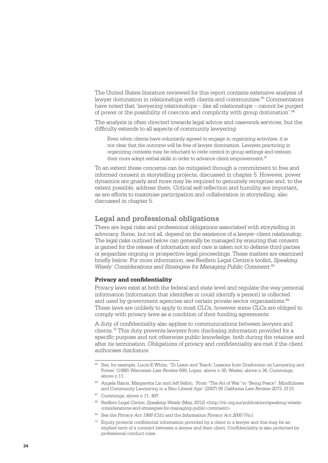<span id="page-25-0"></span>The United States literature reviewed for this report contains extensive analysis of lawyer domination in relationships with clients and communities.<sup>65</sup> Commentators have noted that 'lawyering relationships – like all relationships – cannot be purged of power or the possibility of coercion and complicity with group domination'.<sup>66</sup>

The analysis is often directed towards legal advice and casework services, but the difficulty extends to all aspects of community lawyering:

Even when clients have voluntarily agreed to engage in organizing activities, it is not clear that the outcome will be free of lawyer domination. Lawyers practicing in organizing contexts may be reluctant to cede control in group settings and restrain their more adept verbal skills in order to advance client empowerment.<sup>67</sup>

To an extent these concerns can be mitigated through a commitment to free and informed consent in storytelling projects, discussed in chapter 5. However, power dynamics are gnarly and more may be required to genuinely recognise and, to the extent possible, address them. Critical self-reflection and humility are important, as are efforts to maximise participation and collaboration in storytelling, also discussed in chapter 5.

#### **Legal and professional obligations**

There are legal risks and professional obligations associated with storytelling in advocacy. Some, but not all, depend on the existence of a lawyer–client relationship. The legal risks outlined below can generally be managed by ensuring that consent is gained for the release of information and care is taken not to defame third parties or jeopardise ongoing or prospective legal proceedings. These matters are examined briefly below. For more information, see Redfern Legal Centre's toolkit, *Speaking Wisely: Considerations and Strategies for Managing Public Comment*. 68

#### **Privacy and confidentiality**

Privacy laws exist at both the federal and state level and regulate the way personal information (information that identifies or could identify a person) is collected and used by government agencies and certain private sector organisations.<sup>69</sup> These laws are unlikely to apply to most CLCs, however some CLCs are obliged to comply with privacy laws as a condition of their funding agreements.

A duty of confidentiality also applies to communications between lawyers and clients.70 This duty prevents lawyers from disclosing information provided for a specific purpose and not otherwise public knowledge, both during the retainer and after its termination. Obligations of privacy and confidentiality are met if the client authorises disclosure.

Cummings, above n 11, 497.

- <sup>68</sup> Redfern Legal Centre, *Speaking Wisely* (May, 2012) [<http://rlc.org.au/publication/speaking-wisely](http://rlc.org.au/publication/speaking-wisely-considerations-and-strategies-for-managing-public-comment)[considerations-and-strategies-for-managing-public-comment>.](http://rlc.org.au/publication/speaking-wisely-considerations-and-strategies-for-managing-public-comment)
- <sup>69</sup> See the *Privacy Act 1988* (Cth) and the *Information Privacy Act 2000* (Vic).
- $\frac{70}{10}$  Equity protects confidential information provided by a client to a lawyer and this may be an implied term of a contract between a lawyer and their client. Confidentiality is also protected by professional conduct rules.

<sup>65</sup> See, for example, Lucie E White, 'To Learn and Teach: Lessons from Driefontein on Lawyering and Power' (1988) *Wisconsin Law Review* 699; Lopez, above n 36; Wexler, above n 36; Cummings, above n 11.

<sup>66</sup> Angela Harris, Margaretta Lin and Jeff Selbin, 'From "The Art of War" to "Being Peace": Mindfulness and Community Lawyering in a Neo-Liberal Age' (2007) 95 *California Law Review* 2073, 2115.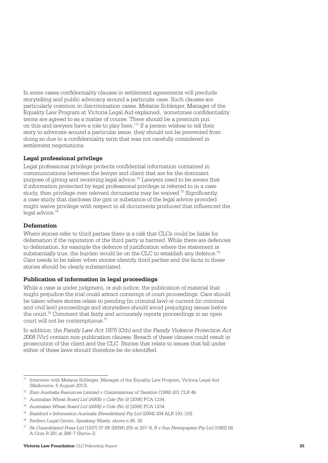In some cases confidentiality clauses in settlement agreements will preclude storytelling and public advocacy around a particular case. Such clauses are particularly common in discrimination cases. Melanie Schleiger, Manager of the Equality Law Program at Victoria Legal Aid explained, 'sometimes confidentiality terms are agreed to as a matter of course. There should be a premium put on this and lawyers have a role to play here.'71 If a person wishes to tell their story to advocate around a particular issue, they should not be prevented from doing so due to a confidentiality term that was not carefully considered in settlement negotiations.

#### **Legal professional privilege**

Legal professional privilege protects confidential information contained in communications between the lawyer and client that are for the dominant purpose of giving and receiving legal advice.<sup>72</sup> Lawyers need to be aware that if information protected by legal professional privilege is referred to in a case study, then privilege over relevant documents may be waived.73 Significantly, a case study that discloses the gist or substance of the legal advice provided might waive privilege with respect to all documents produced that influenced the legal advice.74

#### **Defamation**

Where stories refer to third parties there is a risk that CLCs could be liable for defamation if the reputation of the third party is harmed. While there are defences to defamation, for example the defence of justification where the statement is substantially true, the burden would lie on the CLC to establish any defence.<sup>75</sup> Care needs to be taken when stories identify third parties and the facts in these stories should be clearly substantiated.

#### **Publication of information in legal proceedings**

While a case is under judgment, or sub judice, the publication of material that might prejudice the trial could attract contempt of court proceedings. Care should be taken where stories relate to pending (in criminal law) or current (in criminal and civil law) proceedings and storytellers should avoid prejudging issues before the court.76 Comment that fairly and accurately reports proceedings in an open court will not be contemptuous.77

In addition, the *Family Law Act 1975* (Cth) and the *Family Violence Protection Act 2008* (Vic) contain non-publication clauses. Breach of these clauses could result in prosecution of the client and the CLC. Stories that relate to issues that fall under either of these laws should therefore be de-identified.

<sup>71</sup> Interview with Melanie Schleiger, Manager of the Equality Law Program, Victoria Legal Aid (Melbourne, 6 August 2013).

<sup>72</sup> *Esso Australia Resources Limited v Commissioner of Taxation* (1999) 201 CLR 49.

<sup>73</sup> *Australian Wheat Board Ltd (AWB) v Cole (No 5)* [2006] FCA 1234.

<sup>74</sup> *Australian Wheat Board Ltd (AWB) v Cole (No 5)* [2006] FCA 1234.

<sup>75</sup> *Bashford v Information Australia (Newsletters) Pty Ltd* (2004) 204 ALR 193, [10].

<sup>76</sup> Redfern Legal Centre, *Speaking Wisely*, above n 68, 38.

<sup>77</sup> *Re Consolidated Press Ltd* (1937) 37 SR (NSW) 255 at 257–8; *R v Sun Newspapers Pty Ltd* (1992) 58 A Crim R 281 at 286–7 (Byrne J).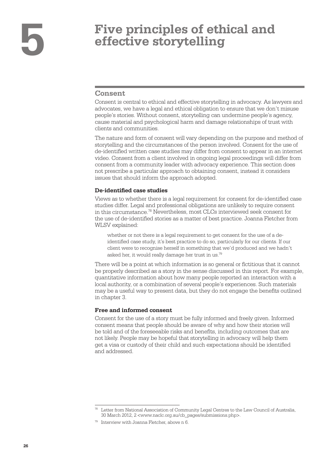## <span id="page-27-0"></span>**5 Five principles of ethical and effective storytelling**

#### **Consent**

Consent is central to ethical and effective storytelling in advocacy. As lawyers and advocates, we have a legal and ethical obligation to ensure that we don't misuse people's stories. Without consent, storytelling can undermine people's agency, cause material and psychological harm and damage relationships of trust with clients and communities.

The nature and form of consent will vary depending on the purpose and method of storytelling and the circumstances of the person involved. Consent for the use of de-identified written case studies may differ from consent to appear in an internet video. Consent from a client involved in ongoing legal proceedings will differ from consent from a community leader with advocacy experience. This section does not prescribe a particular approach to obtaining consent, instead it considers issues that should inform the approach adopted.

#### **De-identified case studies**

Views as to whether there is a legal requirement for consent for de-identified case studies differ. Legal and professional obligations are unlikely to require consent in this circumstance.78 Nevertheless, most CLCs interviewed seek consent for the use of de-identified stories as a matter of best practice. Joanna Fletcher from WLSV explained:

whether or not there is a legal requirement to get consent for the use of a deidentified case study, it's best practice to do so, particularly for our clients. If our client were to recognise herself in something that we'd produced and we hadn't asked her, it would really damage her trust in us.79

There will be a point at which information is so general or fictitious that it cannot be properly described as a story in the sense discussed in this report. For example, quantitative information about how many people reported an interaction with a local authority, or a combination of several people's experiences. Such materials may be a useful way to present data, but they do not engage the benefits outlined in chapter 3.

#### **Free and informed consent**

Consent for the use of a story must be fully informed and freely given. Informed consent means that people should be aware of why and how their stories will be told and of the foreseeable risks and benefits, including outcomes that are not likely. People may be hopeful that storytelling in advocacy will help them get a visa or custody of their child and such expectations should be identified and addressed.

Letter from National Association of Community Legal Centres to the Law Council of Australia, 30 March 2012, 2 [<www.naclc.org.au/cb\\_pages/submissions.php](http://www.naclc.org.au/cb_pages/submissions.php)>.

 $79$  Interview with Joanna Fletcher, above n 6.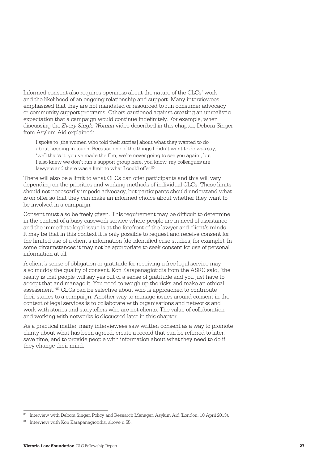Informed consent also requires openness about the nature of the CLCs' work and the likelihood of an ongoing relationship and support. Many interviewees emphasised that they are not mandated or resourced to run consumer advocacy or community support programs. Others cautioned against creating an unrealistic expectation that a campaign would continue indefinitely. For example, when discussing the *Every Single Woman* video described in this chapter, Debora Singer from Asylum Aid explained:

I spoke to [the women who told their stories] about what they wanted to do about keeping in touch. Because one of the things I didn't want to do was say, 'well that's it, you've made the film, we're never going to see you again', but I also knew we don't run a support group here, you know, my colleagues are lawyers and there was a limit to what I could offer.<sup>80</sup>

There will also be a limit to what CLCs can offer participants and this will vary depending on the priorities and working methods of individual CLCs. These limits should not necessarily impede advocacy, but participants should understand what is on offer so that they can make an informed choice about whether they want to be involved in a campaign.

Consent must also be freely given. This requirement may be difficult to determine in the context of a busy casework service where people are in need of assistance and the immediate legal issue is at the forefront of the lawyer and client's minds. It may be that in this context it is only possible to request and receive consent for the limited use of a client's information (de-identified case studies, for example). In some circumstances it may not be appropriate to seek consent for use of personal information at all.

A client's sense of obligation or gratitude for receiving a free legal service may also muddy the quality of consent. Kon Karapanagiotidis from the ASRC said, 'the reality is that people will say yes out of a sense of gratitude and you just have to accept that and manage it. You need to weigh up the risks and make an ethical assessment.'81 CLCs can be selective about who is approached to contribute their stories to a campaign. Another way to manage issues around consent in the context of legal services is to collaborate with organisations and networks and work with stories and storytellers who are not clients. The value of collaboration and working with networks is discussed later in this chapter.

As a practical matter, many interviewees saw written consent as a way to promote clarity about what has been agreed, create a record that can be referred to later, save time, and to provide people with information about what they need to do if they change their mind.

<sup>80</sup> Interview with Debora Singer, Policy and Research Manager, Asylum Aid (London, 10 April 2013).

<sup>&</sup>lt;sup>81</sup> Interview with Kon Karapanagiotidis, above n 55.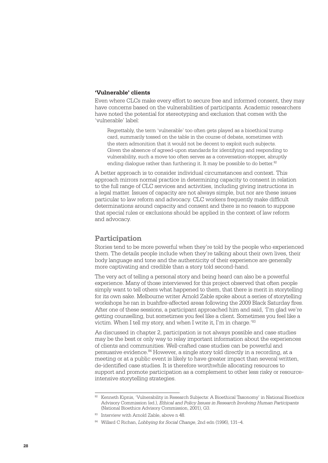#### <span id="page-29-0"></span>**'Vulnerable' clients**

Even where CLCs make every effort to secure free and informed consent, they may have concerns based on the vulnerabilities of participants. Academic researchers have noted the potential for stereotyping and exclusion that comes with the 'vulnerable' label:

Regrettably, the term 'vulnerable' too often gets played as a bioethical trump card, summarily tossed on the table in the course of debate, sometimes with the stern admonition that it would not be decent to exploit such subjects. Given the absence of agreed-upon standards for identifying and responding to vulnerability, such a move too often serves as a conversation-stopper, abruptly ending dialogue rather than furthering it. It may be possible to do better.<sup>82</sup>

A better approach is to consider individual circumstances and context. This approach mirrors normal practice in determining capacity to consent in relation to the full range of CLC services and activities, including giving instructions in a legal matter. Issues of capacity are not always simple, but nor are these issues particular to law reform and advocacy. CLC workers frequently make difficult determinations around capacity and consent and there is no reason to suppose that special rules or exclusions should be applied in the context of law reform and advocacy.

#### **Participation**

Stories tend to be more powerful when they're told by the people who experienced them. The details people include when they're talking about their own lives, their body language and tone and the authenticity of their experience are generally more captivating and credible than a story told second-hand.

The very act of telling a personal story and being heard can also be a powerful experience. Many of those interviewed for this project observed that often people simply want to tell others what happened to them, that there is merit in storytelling for its own sake. Melbourne writer Arnold Zable spoke about a series of storytelling workshops he ran in bushfire-affected areas following the 2009 Black Saturday fires. After one of these sessions, a participant approached him and said, 'I'm glad we're getting counselling, but sometimes you feel like a client. Sometimes you feel like a victim. When I tell my story, and when I write it, I'm in charge.'83

As discussed in chapter 2, participation is not always possible and case studies may be the best or only way to relay important information about the experiences of clients and communities. Well-crafted case studies can be powerful and persuasive evidence.84 However, a single story told directly in a recording, at a meeting or at a public event is likely to have greater impact than several written, de-identified case studies. It is therefore worthwhile allocating resources to support and promote participation as a complement to other less risky or resourceintensive storytelling strategies.

<sup>82</sup> Kenneth Kipnis, 'Vulnerability in Research Subjects: A Bioethical Taxonomy' in National Bioethics Advisory Commission (ed.), *Ethical and Policy Issues in Research Involving Human Participants* (National Bioethics Advisory Commission, 2001), G3.

<sup>83</sup> Interview with Arnold Zable, above n 48.

<sup>84</sup> Willard C Richan, *Lobbying for Social Change*, 2nd edn (1996), 131–4.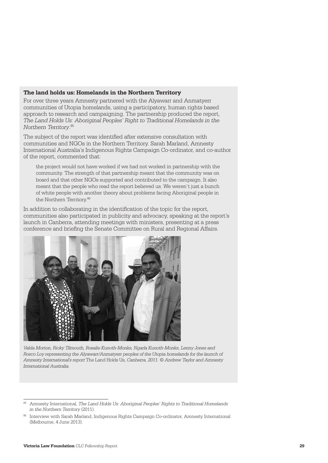#### **The land holds us: Homelands in the Northern Territory**

For over three years Amnesty partnered with the Alyawarr and Anmatyerr communities of Utopia homelands, using a participatory, human rights based approach to research and campaigning. The partnership produced the report, *The Land Holds Us: Aboriginal Peoples' Right to Traditional Homelands in the Northern Territory*. 85

The subject of the report was identified after extensive consultation with communities and NGOs in the Northern Territory. Sarah Marland, Amnesty International Australia's Indigenous Rights Campaign Co-ordinator, and co-author of the report, commented that:

the project would not have worked if we had not worked in partnership with the community. The strength of that partnership meant that the community was on board and that other NGOs supported and contributed to the campaign. It also meant that the people who read the report believed us. We weren't just a bunch of white people with another theory about problems facing Aboriginal people in the Northern Territory. 86

In addition to collaborating in the identification of the topic for the report, communities also participated in publicity and advocacy, speaking at the report's launch in Canberra, attending meetings with ministers, presenting at a press conference and briefing the Senate Committee on Rural and Regional Affairs.



*Valda Morton, Ricky Tilmouth, Rosalie Kunoth-Monks, Ngarla Kunoth-Monks, Lenny Jones and Rosco Loy representing the Alyawarr/Anmatyerr peoples of the Utopia homelands for the launch of Amnesty International's report* The Land Holds Us*, Canberra, 2011. © Andrew Taylor and Amnesty International Australia.* 

<sup>85</sup> Amnesty International, *The Land Holds Us: Aboriginal Peoples' Rights to Traditional Homelands in the Northern Territory* (2011).

<sup>86</sup> Interview with Sarah Marland, Indigenous Rights Campaign Co-ordinator, Amnesty International (Melbourne, 4 June 2013).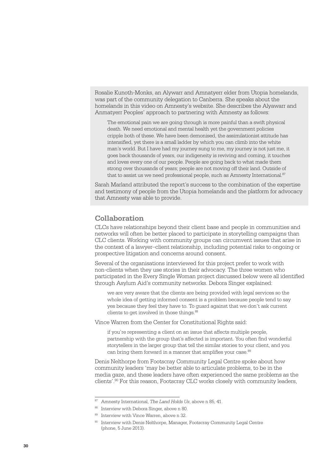<span id="page-31-0"></span>Rosalie Kunoth-Monks, an Alywarr and Amnatyerr elder from Utopia homelands, was part of the community delegation to Canberra. She speaks about the homelands in this video on Amnesty's website. She describes the Alyawarr and Anmatyerr Peoples' approach to partnering with Amnesty as follows:

The emotional pain we are going through is more painful than a swift physical death. We need emotional and mental health yet the government policies cripple both of these. We have been demonised, the assimilationist attitude has intensified, yet there is a small ladder by which you can climb into the white man's world. But I have had my journey sung to me, my journey is not just me, it goes back thousands of years, our indigeneity is reviving and coming, it touches and loves every one of our people. People are going back to what made them strong over thousands of years; people are not moving off their land. Outside of that to assist us we need professional people, such as Amnesty International.<sup>87</sup>

Sarah Marland attributed the report's success to the combination of the expertise and testimony of people from the Utopia homelands and the platform for advocacy that Amnesty was able to provide.

#### **Collaboration**

CLCs have relationships beyond their client base and people in communities and networks will often be better placed to participate in storytelling campaigns than CLC clients. Working with community groups can circumvent issues that arise in the context of a lawyer–client relationship, including potential risks to ongoing or prospective litigation and concerns around consent.

Several of the organisations interviewed for this project prefer to work with non-clients when they use stories in their advocacy. The three women who participated in the Every Single Woman project discussed below were all identified through Asylum Aid's community networks. Debora Singer explained:

we are very aware that the clients are being provided with legal services so the whole idea of getting informed consent is a problem because people tend to say yes because they feel they have to. To guard against that we don't ask current clients to get involved in those things.<sup>88</sup>

Vince Warren from the Center for Constitutional Rights said:

if you're representing a client on an issue that affects multiple people, partnership with the group that's affected is important. You often find wonderful storytellers in the larger group that tell the similar stories to your client, and you can bring them forward in a manner that amplifies your case.<sup>89</sup>

Denis Nelthorpe from Footscray Community Legal Centre spoke about how community leaders 'may be better able to articulate problems, to be in the media gaze, and these leaders have often experienced the same problems as the clients'.90 For this reason, Footscray CLC works closely with community leaders,

<sup>87</sup> Amnesty International, *The Land Holds Us*, above n 85, 41.

<sup>88</sup> Interview with Debora Singer, above n 80.

<sup>89</sup> Interview with Vince Warren, above n 32.

<sup>90</sup> Interview with Denis Nelthorpe, Manager, Footscray Community Legal Centre (phone, 5 June 2013).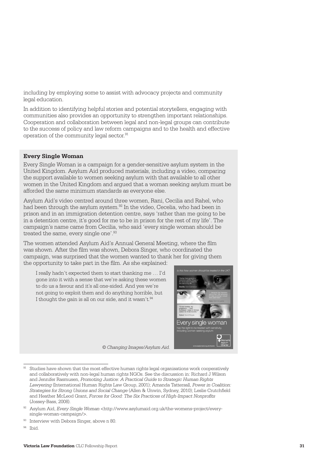including by employing some to assist with advocacy projects and community legal education.

In addition to identifying helpful stories and potential storytellers, engaging with communities also provides an opportunity to strengthen important relationships. Cooperation and collaboration between legal and non-legal groups can contribute to the success of policy and law reform campaigns and to the health and effective operation of the community legal sector.91

#### **Every Single Woman**

Every Single Woman is a campaign for a gender-sensitive asylum system in the United Kingdom. Asylum Aid produced materials, including a video, comparing the support available to women seeking asylum with that available to all other women in the United Kingdom and argued that a woman seeking asylum must be afforded the same minimum standards as everyone else.

Asylum Aid's video centred around three women, Rani, Cecilia and Rahel, who had been through the asylum system.<sup>92</sup> In the video, Cecelia, who had been in prison and in an immigration detention centre, says 'rather than me going to be in a detention centre, it's good for me to be in prison for the rest of my life'. The campaign's name came from Cecilia, who said 'every single woman should be treated the same, every single one'.<sup>93</sup>

The women attended Asylum Aid's Annual General Meeting, where the film was shown. After the film was shown, Debora Singer, who coordinated the campaign, was surprised that the women wanted to thank her for giving them the opportunity to take part in the film. As she explained:

I really hadn't expected them to start thanking me … I'd gone into it with a sense that we're asking these women to do us a favour and it's all one-sided. And yes we're not going to exploit them and do anything horrible, but I thought the gain is all on our side, and it wasn't. $94$ 



*© Changing Images/Asylum Aid.* 

<sup>&</sup>lt;sup>91</sup> Studies have shown that the most effective human rights legal organisations work cooperatively and collaboratively with non-legal human rights NGOs. See the discussion in: Richard J Wilson and Jennifer Rasmusen, *Promoting Justice: A Practical Guide to Strategic Human Rights Lawyering* (International Human Rights Law Group, 2001); Amanda Tattersall, *Power in Coalition: Strategies for Strong Unions and Social Change* (Allen & Unwin, Sydney, 2010); Leslie Crutchfield and Heather McLeod Grant, *Forces for Good: The Six Practices of High-Impact Nonprofits* (Jossey-Bass, 2008).

Asylum Aid, *Every Single Woman* [<http://www.asylumaid.org.uk/the-womens-project/every](http://www.asylumaid.org.uk/the-womens-project/every-single-woman-campaign/)[single-woman-campaign/>.](http://www.asylumaid.org.uk/the-womens-project/every-single-woman-campaign/)

<sup>&</sup>lt;sup>93</sup> Interview with Debora Singer, above n 80.

<sup>94</sup> Ibid.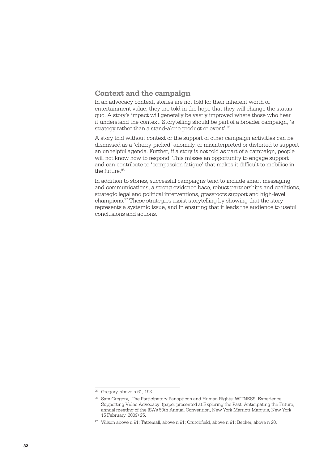#### <span id="page-33-0"></span>**Context and the campaign**

In an advocacy context, stories are not told for their inherent worth or entertainment value, they are told in the hope that they will change the status quo. A story's impact will generally be vastly improved where those who hear it understand the context. Storytelling should be part of a broader campaign, 'a strategy rather than a stand-alone product or event'.<sup>95</sup>

A story told without context or the support of other campaign activities can be dismissed as a 'cherry-picked' anomaly, or misinterpreted or distorted to support an unhelpful agenda. Further, if a story is not told as part of a campaign, people will not know how to respond. This misses an opportunity to engage support and can contribute to 'compassion fatigue' that makes it difficult to mobilise in the future.<sup>96</sup>

In addition to stories, successful campaigns tend to include smart messaging and communications, a strong evidence base, robust partnerships and coalitions, strategic legal and political interventions, grassroots support and high-level champions.97 These strategies assist storytelling by showing that the story represents a systemic issue, and in ensuring that it leads the audience to useful conclusions and actions.

<sup>&</sup>lt;sup>95</sup> Gregory, above n 61, 193.

<sup>96</sup> Sam Gregory, 'The Participatory Panopticon and Human Rights: WITNESS' Experience Supporting Video Advocacy' (paper presented at Exploring the Past, Anticipating the Future, annual meeting of the ISA's 50th Annual Convention, New York Marriott Marquis, New York, 15 February, 2009) 25.

<sup>97</sup> Wilson above n 91; Tattersall, above n 91; Crutchfield, above n 91; Becker, above n 20.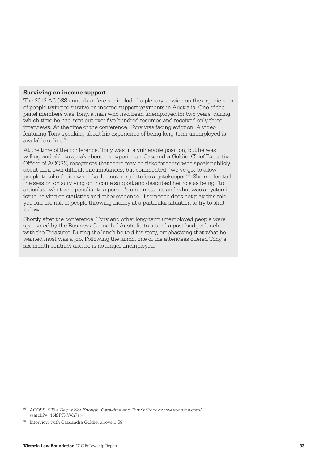#### **Surviving on income support**

The 2013 ACOSS annual conference included a plenary session on the experiences of people trying to survive on income support payments in Australia. One of the panel members was Tony, a man who had been unemployed for two years, during which time he had sent out over five hundred resumes and received only three interviews. At the time of the conference, Tony was facing eviction. A video featuring Tony speaking about his experience of being long-term unemployed is available online.98

At the time of the conference, Tony was in a vulnerable position, but he was willing and able to speak about his experience. Cassandra Goldie, Chief Executive Officer of ACOSS, recognises that there may be risks for those who speak publicly about their own difficult circumstances, but commented, 'we've got to allow people to take their own risks. It's not our job to be a gatekeeper.'99 She moderated the session on surviving on income support and described her role as being: 'to articulate what was peculiar to a person's circumstance and what was a systemic issue, relying on statistics and other evidence. If someone does not play this role you run the risk of people throwing money at a particular situation to try to shut it down.'

Shortly after the conference, Tony and other long-term unemployed people were sponsored by the Business Council of Australia to attend a post-budget lunch with the Treasurer. During the lunch he told his story, emphasising that what he wanted most was a job. Following the lunch, one of the attendees offered Tony a six-month contract and he is no longer unemployed.

<sup>98</sup> ACOSS, *\$35 a Day is Not Enough, Geraldine and Tony's Story* <[www.youtube.com/](http://www.youtube.com/watch?v=1NSPFkVvh7s) [watch?v=1NSPFkVvh7s>](http://www.youtube.com/watch?v=1NSPFkVvh7s).

<sup>99</sup> Interview with Cassandra Goldie, above n 59.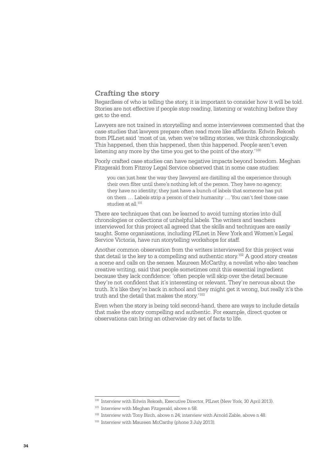#### <span id="page-35-0"></span>**Crafting the story**

Regardless of who is telling the story, it is important to consider how it will be told. Stories are not effective if people stop reading, listening or watching before they get to the end.

Lawyers are not trained in storytelling and some interviewees commented that the case studies that lawyers prepare often read more like affidavits. Edwin Rekosh from PILnet said 'most of us, when we're telling stories, we think chronologically. This happened, then this happened, then this happened. People aren't even listening any more by the time you get to the point of the story.<sup>'100</sup>

Poorly crafted case studies can have negative impacts beyond boredom. Meghan Fitzgerald from Fitzroy Legal Service observed that in some case studies:

you can just hear the way they [lawyers] are distilling all the experience through their own filter until there's nothing left of the person. They have no agency; they have no identity; they just have a bunch of labels that someone has put on them … Labels strip a person of their humanity … You can't feel those case studies at all.101

There are techniques that can be learned to avoid turning stories into dull chronologies or collections of unhelpful labels. The writers and teachers interviewed for this project all agreed that the skills and techniques are easily taught. Some organisations, including PILnet in New York and Women's Legal Service Victoria, have run storytelling workshops for staff.

Another common observation from the writers interviewed for this project was that detail is the key to a compelling and authentic story.102 A good story creates a scene and calls on the senses. Maureen McCarthy, a novelist who also teaches creative writing, said that people sometimes omit this essential ingredient because they lack confidence: 'often people will skip over the detail because they're not confident that it's interesting or relevant. They're nervous about the truth. It's like they're back in school and they might get it wrong, but really it's the truth and the detail that makes the story.'103

Even when the story is being told second-hand, there are ways to include details that make the story compelling and authentic. For example, direct quotes or observations can bring an otherwise dry set of facts to life.

<sup>100</sup> Interview with Edwin Rekosh, Executive Director, PILnet (New York, 30 April 2013).

<sup>&</sup>lt;sup>101</sup> Interview with Meghan Fitzgerald, above n 58.

<sup>102</sup> Interview with Tony Birch, above n 24; interview with Arnold Zable, above n 48.

<sup>&</sup>lt;sup>103</sup> Interview with Maureen McCarthy (phone 3 July 2013).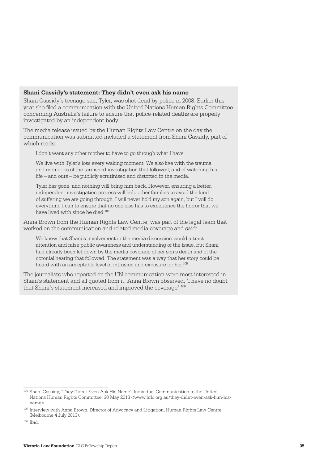#### **Shani Cassidy's statement: They didn't even ask his name**

Shani Cassidy's teenage son, Tyler, was shot dead by police in 2008. Earlier this year she filed a communication with the United Nations Human Rights Committee concerning Australia's failure to ensure that police-related deaths are properly investigated by an independent body.

The media release issued by the Human Rights Law Centre on the day the communication was submitted included a statement from Shani Cassidy, part of which reads:

I don't want any other mother to have to go through what I have.

We live with Tyler's loss every waking moment. We also live with the trauma and memories of the tarnished investigation that followed, and of watching his life – and ours – be publicly scrutinised and distorted in the media.

Tyler has gone, and nothing will bring him back. However, ensuring a better, independent investigation process will help other families to avoid the kind of suffering we are going through. I will never hold my son again, but I will do everything I can to ensure that no one else has to experience the horror that we have lived with since he died.104

Anna Brown from the Human Rights Law Centre, was part of the legal team that worked on the communication and related media coverage and said:

We knew that Shani's involvement in the media discussion would attract attention and raise public awareness and understanding of the issue, but Shani had already been let down by the media coverage of her son's death and of the coronial hearing that followed. The statement was a way that her story could be heard with an acceptable level of intrusion and exposure for her.105

The journalists who reported on the UN communication were most interested in Shani's statement and all quoted from it. Anna Brown observed, 'I have no doubt. that Shani's statement increased and improved the coverage'.106

<sup>104</sup> Shani Cassidy, 'They Didn't Even Ask His Name', Individual Communication to the United Nations Human Rights Committee, 30 May 2013 <[www.hrlc.org.au/they-didnt-even-ask-him-his](http://www.hrlc.org.au/they-didnt-even-ask-him-his-name)[name>](http://www.hrlc.org.au/they-didnt-even-ask-him-his-name).

<sup>105</sup> Interview with Anna Brown, Director of Advocacy and Litigation, Human Rights Law Centre (Melbourne 4 July 2013).

 $106$  Ibid.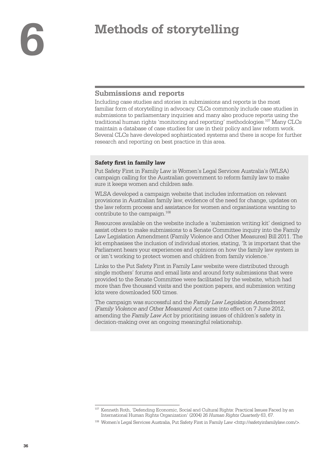## <span id="page-37-0"></span>**6 Methods of storytelling**

#### **Submissions and reports**

Including case studies and stories in submissions and reports is the most familiar form of storytelling in advocacy. CLCs commonly include case studies in submissions to parliamentary inquiries and many also produce reports using the traditional human rights 'monitoring and reporting' methodologies.107 Many CLCs maintain a database of case studies for use in their policy and law reform work. Several CLCs have developed sophisticated systems and there is scope for further research and reporting on best practice in this area.

#### **Safety first in family law**

Put Safety First in Family Law is Women's Legal Services Australia's (WLSA) campaign calling for the Australian government to reform family law to make sure it keeps women and children safe.

WLSA developed a campaign website that includes information on relevant provisions in Australian family law, evidence of the need for change, updates on the law reform process and assistance for women and organisations wanting to contribute to the campaign.<sup>108</sup>

Resources available on the website include a 'submission writing kit' designed to assist others to make submissions to a Senate Committee inquiry into the Family Law Legislation Amendment (Family Violence and Other Measures) Bill 2011. The kit emphasises the inclusion of individual stories, stating, 'It is important that the Parliament hears your experiences and opinions on how the family law system is or isn't working to protect women and children from family violence.'

Links to the Put Safety First in Family Law website were distributed through single mothers' forums and email lists and around forty submissions that were provided to the Senate Committee were facilitated by the website, which had more than five thousand visits and the position papers, and submission writing kits were downloaded 500 times.

The campaign was successful and the *Family Law Legislation Amendment (Family Violence and Other Measures) Act* came into effect on 7 June 2012, amending the *Family Law Act* by prioritising issues of children's safety in decision-making over an ongoing meaningful relationship.

<sup>107</sup> Kenneth Roth, 'Defending Economic, Social and Cultural Rights: Practical Issues Faced by an International Human Rights Organization' (2004) 26 *Human Rights Quarterly* 63, 67.

<sup>108</sup> Women's Legal Services Australia, Put Safety First in Family Law [<http://safetyinfamilylaw.com/>](http://safetyinfamilylaw.com/).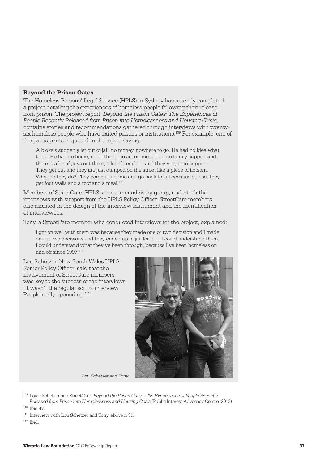#### **Beyond the Prison Gates**

The Homeless Persons' Legal Service (HPLS) in Sydney has recently completed a project detailing the experiences of homeless people following their release from prison. The project report, *Beyond the Prison Gates: The Experiences of People Recently Released from Prison into Homelessness and Housing Crisis*, contains stories and recommendations gathered through interviews with twentysix homeless people who have exited prisons or institutions.109 For example, one of the participants is quoted in the report saying:

A bloke's suddenly let out of jail, no money, nowhere to go. He had no idea what to do. He had no home, no clothing, no accommodation, no family support and there is a lot of guys out there, a lot of people ... and they've got no support. They get out and they are just dumped on the street like a piece of flotsam. What do they do? They commit a crime and go back to jail because at least they get four walls and a roof and a meal.110

Members of StreetCare, HPLS's consumer advisory group, undertook the interviews with support from the HPLS Policy Officer. StreetCare members also assisted in the design of the interview instrument and the identification of interviewees.

Tony, a StreetCare member who conducted interviews for the project, explained:

I got on well with them was because they made one or two decision and I made one or two decisions and they ended up in jail for it … I could understand them, I could understand what they've been through, because I've been homeless on and off since 1997<sup>111</sup>

Lou Schetzer, New South Wales HPLS Senior Policy Officer, said that the involvement of StreetCare members was key to the success of the interviews, 'it wasn't the regular sort of interview. People really opened up.'112



*Lou Schetzer and Tony.* 

<sup>109</sup> Louis Schetzer and StreetCare, *Beyond the Prison Gates: The Experiences of People Recently Released from Prison into Homelessness and Housing Crisis* (Public Interest Advocacy Centre, 2013).

<sup>110</sup> Ibid 47.

<sup>&</sup>lt;sup>111</sup> Interview with Lou Schetzer and Tony, above n 31.

 $112$  Thid.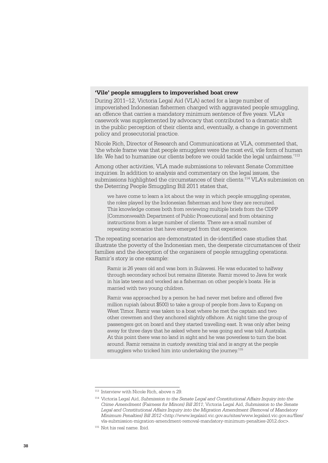#### **'Vile' people smugglers to impoverished boat crew**

During 2011–12, Victoria Legal Aid (VLA) acted for a large number of impoverished Indonesian fishermen charged with aggravated people smuggling, an offence that carries a mandatory minimum sentence of five years. VLA's casework was supplemented by advocacy that contributed to a dramatic shift in the public perception of their clients and, eventually, a change in government policy and prosecutorial practice.

Nicole Rich, Director of Research and Communications at VLA, commented that, 'the whole frame was that people smugglers were the most evil, vile form of human life. We had to humanise our clients before we could tackle the legal unfairness.'<sup>113</sup>

Among other activities, VLA made submissions to relevant Senate Committee inquiries. In addition to analysis and commentary on the legal issues, the submissions highlighted the circumstances of their clients.114 VLA's submission on the Deterring People Smuggling Bill 2011 states that,

we have come to learn a lot about the way in which people smuggling operates, the roles played by the Indonesian fisherman and how they are recruited. This knowledge comes both from reviewing multiple briefs from the CDPP [Commonwealth Department of Public Prosecutions] and from obtaining instructions from a large number of clients. There are a small number of repeating scenarios that have emerged from that experience.

The repeating scenarios are demonstrated in de-identified case studies that illustrate the poverty of the Indonesian men, the desperate circumstances of their families and the deception of the organisers of people smuggling operations. Ramir's story is one example:

Ramir is 26 years old and was born in Sulawesi. He was educated to halfway through secondary school but remains illiterate. Ramir moved to Java for work in his late teens and worked as a fisherman on other people's boats. He is married with two young children.

Ramir was approached by a person he had never met before and offered five million rupiah (about \$500) to take a group of people from Java to Kupang on West Timor. Ramir was taken to a boat where he met the captain and two other crewmen and they anchored slightly offshore. At night time the group of passengers got on board and they started travelling east. It was only after being away for three days that he asked where he was going and was told Australia. At this point there was no land in sight and he was powerless to turn the boat around. Ramir remains in custody awaiting trial and is angry at the people smugglers who tricked him into undertaking the journey.<sup>115</sup>

<sup>&</sup>lt;sup>113</sup> Interview with Nicole Rich, above n 29.

<sup>114</sup> Victoria Legal Aid, *Submission to the Senate Legal and Constitutional Affairs Inquiry into the Crime Amendment (Fairness for Minors) Bill 2011*; Victoria Legal Aid, *Submission to the Senate Legal and Constitutional Affairs Inquiry into the Migration Amendment (Removal of Mandatory Minimum Penalties) Bill 2012* [<http://www.legalaid.vic.gov.au/sites/www.legalaid.vic.gov.au/files/](http://www.legalaid.vic.gov.au/sites/www.legalaid.vic.gov.au/files/vla-submission-migration-amendment-removal-mandatory-minimum-penalties-2012.doc) [vla-submission-migration-amendment-removal-mandatory-minimum-penalties-2012.doc>.](http://www.legalaid.vic.gov.au/sites/www.legalaid.vic.gov.au/files/vla-submission-migration-amendment-removal-mandatory-minimum-penalties-2012.doc)

<sup>115</sup> Not his real name. Ibid.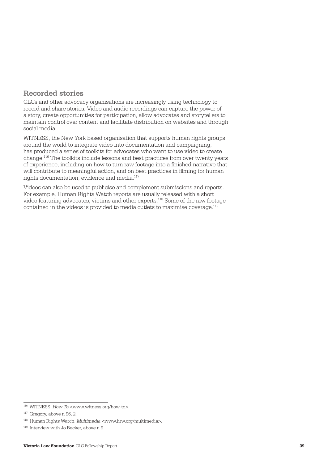#### <span id="page-40-0"></span>**Recorded stories**

CLCs and other advocacy organisations are increasingly using technology to record and share stories. Video and audio recordings can capture the power of a story, create opportunities for participation, allow advocates and storytellers to maintain control over content and facilitate distribution on websites and through social media.

WITNESS, the New York based organisation that supports human rights groups around the world to integrate video into documentation and campaigning, has produced a series of toolkits for advocates who want to use video to create change.116 The toolkits include lessons and best practices from over twenty years of experience, including on how to turn raw footage into a finished narrative that will contribute to meaningful action, and on best practices in filming for human rights documentation, evidence and media.117

Videos can also be used to publicise and complement submissions and reports. For example, Human Rights Watch reports are usually released with a short video featuring advocates, victims and other experts.118 Some of the raw footage contained in the videos is provided to media outlets to maximise coverage.119

<sup>116</sup> WITNESS, *How To* [<www.witness.org/how-to>](http://www.witness.org/how-to).

 $117$  Gregory, above n 96, 2.

<sup>118</sup> Human Rights Watch, *Multimedia* [<www.hrw.org/multimedia](http://www.hrw.org/multimedia)>.

<sup>119</sup> Interview with Jo Becker, above n 9.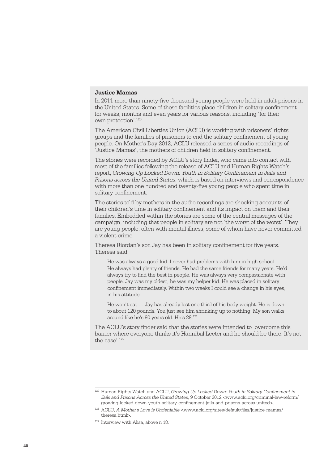#### **Justice Mamas**

In 2011 more than ninety-five thousand young people were held in adult prisons in the United States. Some of these facilities place children in solitary confinement for weeks, months and even years for various reasons, including 'for their own protection'.120

The American Civil Liberties Union (ACLU) is working with prisoners' rights groups and the families of prisoners to end the solitary confinement of young people. On Mother's Day 2012, ACLU released a series of audio recordings of 'Justice Mamas', the mothers of children held in solitary confinement.

The stories were recorded by ACLU's story finder, who came into contact with most of the families following the release of ACLU and Human Rights Watch's report, *Growing Up Locked Down: Youth in Solitary Confinement in Jails and Prisons across the United States*, which is based on interviews and correspondence with more than one hundred and twenty-five young people who spent time in solitary confinement.

The stories told by mothers in the audio recordings are shocking accounts of their children's time in solitary confinement and its impact on them and their families. Embedded within the stories are some of the central messages of the campaign, including that people in solitary are not 'the worst of the worst'. They are young people, often with mental illness, some of whom have never committed a violent crime.

Theresa Riordan's son Jay has been in solitary confinement for five years. Theresa said:

He was always a good kid. I never had problems with him in high school. He always had plenty of friends. He had the same friends for many years. He'd always try to find the best in people. He was always very compassionate with people. Jay was my oldest, he was my helper kid. He was placed in solitary confinement immediately. Within two weeks I could see a change in his eyes, in his attitude …

He won't eat … Jay has already lost one third of his body weight. He is down to about 120 pounds. You just see him shrinking up to nothing. My son walks around like he's 80 years old. He's 28.121

The ACLU's story finder said that the stories were intended to 'overcome this barrier where everyone thinks it's Hannibal Lecter and he should be there. It's not the case'.<sup>122</sup>

<sup>120</sup> Human Rights Watch and ACLU, *Growing Up Locked Down: Youth in Solitary Confinement in Jails and Prisons Across the United States*, 9 October 2012 <[www.aclu.org/criminal-law-reform/](http://www.aclu.org/criminal-law-reform/growing-locked-down-youth-solitary-confinement-jails-and-prisons-across-united) [growing-locked-down-youth-solitary-confinement-jails-and-prisons-across-united](http://www.aclu.org/criminal-law-reform/growing-locked-down-youth-solitary-confinement-jails-and-prisons-across-united)>.

<sup>121</sup> ACLU, *A Mother's Love is Undeniable* <[www.aclu.org/sites/default/files/justice-mamas/](https://www.aclu.org/sites/default/files/justice-mamas/theresa.html) [theresa.html>](https://www.aclu.org/sites/default/files/justice-mamas/theresa.html).

<sup>&</sup>lt;sup>122</sup> Interview with Alisa, above n 18.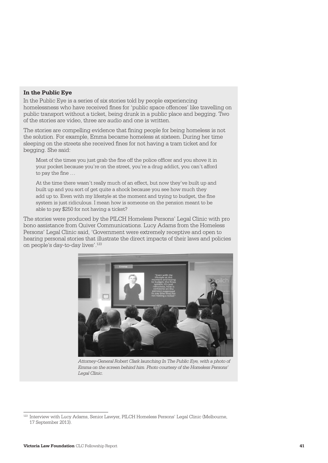#### **In the Public Eye**

[In the Public Eye](http://www.pilch.org.au/hplc/inthepubliceye/) is a series of six stories told by people experiencing homelessness who have received fines for 'public space offences' like travelling on public transport without a ticket, being drunk in a public place and begging. Two of the stories are video, three are audio and one is written.

The stories are compelling evidence that fining people for being homeless is not the solution. For example, Emma became homeless at sixteen. During her time sleeping on the streets she received fines for not having a tram ticket and for begging. She said:

Most of the times you just grab the fine off the police officer and you shove it in your pocket because you're on the street, you're a drug addict, you can't afford to pay the fine …

At the time there wasn't really much of an effect, but now they've built up and built up and you sort of get quite a shock because you see how much they add up to. Even with my lifestyle at the moment and trying to budget, the fine system is just ridiculous. I mean how is someone on the pension meant to be able to pay \$250 for not having a ticket?

The stories were produced by the PILCH Homeless Persons' Legal Clinic with pro bono assistance from Quiver Communications. Lucy Adams from the Homeless Persons' Legal Clinic said, 'Government were extremely receptive and open to hearing personal stories that illustrate the direct impacts of their laws and policies on people's day-to-day lives'.123



*Attorney-General Robert Clark launching In The Public Eye, with a photo of Emma on the screen behind him. Photo courtesy of the Homeless Persons' Legal Clinic.*

<sup>123</sup> Interview with Lucy Adams, Senior Lawyer, PILCH Homeless Persons' Legal Clinic (Melbourne, 17 September 2013).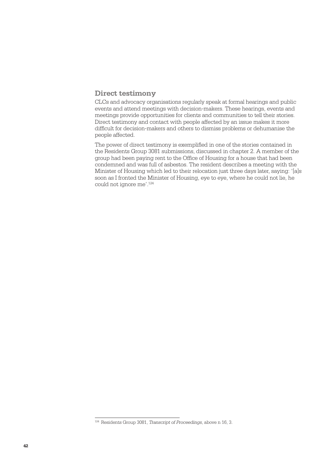#### <span id="page-43-0"></span>**Direct testimony**

CLCs and advocacy organisations regularly speak at formal hearings and public events and attend meetings with decision-makers. These hearings, events and meetings provide opportunities for clients and communities to tell their stories. Direct testimony and contact with people affected by an issue makes it more difficult for decision-makers and others to dismiss problems or dehumanise the people affected.

The power of direct testimony is exemplified in one of the stories contained in the Residents Group 3081 submissions, discussed in chapter 2. A member of the group had been paying rent to the Office of Housing for a house that had been condemned and was full of asbestos. The resident describes a meeting with the Minister of Housing which led to their relocation just three days later, saying: '[a]s soon as I fronted the Minister of Housing, eye to eye, where he could not lie, he could not ignore me'.124

<sup>124</sup> Residents Group 3081, *Transcript of Proceedings*, above n 16, 3.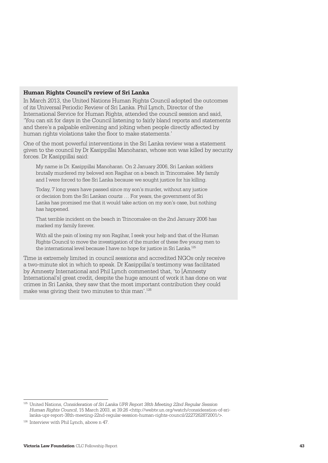#### **Human Rights Council's review of Sri Lanka**

In March 2013, the United Nations Human Rights Council adopted the outcomes of its Universal Periodic Review of Sri Lanka. Phil Lynch, Director of the International Service for Human Rights, attended the council session and said, 'You can sit for days in the Council listening to fairly bland reports and statements and there's a palpable enlivening and jolting when people directly affected by human rights violations take the floor to make statements.'

One of the most powerful interventions in the Sri Lanka review was a statement given to the council by Dr Kasippillai Manoharan, whose son was killed by security forces. Dr Kasippillai said:

My name is Dr. Kasippillai Manoharan. On 2 January 2006, Sri Lankan soldiers brutally murdered my beloved son Ragihar on a beach in Trincomalee. My family and I were forced to flee Sri Lanka because we sought justice for his killing.

Today, 7 long years have passed since my son's murder, without any justice or decision from the Sri Lankan courts … For years, the government of Sri Lanka has promised me that it would take action on my son's case, but nothing has happened.

That terrible incident on the beach in Trincomalee on the 2nd January 2006 has marked my family forever.

With all the pain of losing my son Ragihar, I seek your help and that of the Human Rights Council to move the investigation of the murder of these five young men to the international level because I have no hope for justice in Sri Lanka.<sup>125</sup>

Time is extremely limited in council sessions and accredited NGOs only receive a two-minute slot in which to speak. Dr Kasippillai's testimony was facilitated by Amnesty International and Phil Lynch commented that, 'to [Amnesty International's] great credit, despite the huge amount of work it has done on war crimes in Sri Lanka, they saw that the most important contribution they could make was giving their two minutes to this man'.126

<sup>125</sup> United Nations, *Consideration of Sri Lanka UPR Report 38th Meeting 22nd Regular Session Human Rights Council*, 15 March 2003, at 39:26 [<http://webtv.un.org/watch/consideration-of-sri](http://webtv.un.org/watch/consideration-of-sri-lanka-upr-report-38th-meeting-22nd-regular-session-human-rights-council/2227262872001/)[lanka-upr-report-38th-meeting-22nd-regular-session-human-rights-council/2227262872001/](http://webtv.un.org/watch/consideration-of-sri-lanka-upr-report-38th-meeting-22nd-regular-session-human-rights-council/2227262872001/)>.

<sup>&</sup>lt;sup>126</sup> Interview with Phil Lynch, above n 47.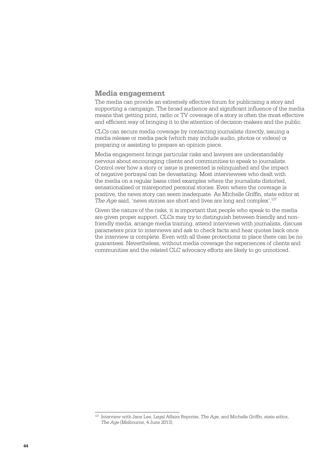#### <span id="page-45-0"></span>**Media engagement**

The media can provide an extremely effective forum for publicising a story and supporting a campaign. The broad audience and significant influence of the media means that getting print, radio or TV coverage of a story is often the most effective and efficient way of bringing it to the attention of decision-makers and the public.

CLCs can secure media coverage by contacting journalists directly, issuing a media release or media pack (which may include audio, photos or videos) or preparing or assisting to prepare an opinion piece.

Media engagement brings particular risks and lawyers are understandably nervous about encouraging clients and communities to speak to journalists. Control over how a story or issue is presented is relinguished and the impact of negative portrayal can be devastating. Most interviewees who dealt with the media on a regular basis cited examples where the journalists distorted, sensationalised or misreported personal stories. Even where the coverage is positive, the news story can seem inadequate. As Michelle Griffin, state editor at *The Age* said, 'news stories are short and lives are long and complex'.<sup>127</sup>

Given the nature of the risks, it is important that people who speak to the media are given proper support. CLCs may try to distinguish between friendly and nonfriendly media, arrange media training, attend interviews with journalists, discuss parameters prior to interviews and ask to check facts and hear quotes back once the interview is complete. Even with all these protections in place there can be no guarantees. Nevertheless, without media coverage the experiences of clients and communities and the related CLC advocacy efforts are likely to go unnoticed.

<sup>127</sup> Interview with Jane Lee, Legal Affairs Reporter, *The Age*, and Michelle Griffin, state editor, *The Age* (Melbourne, 4 June 2013).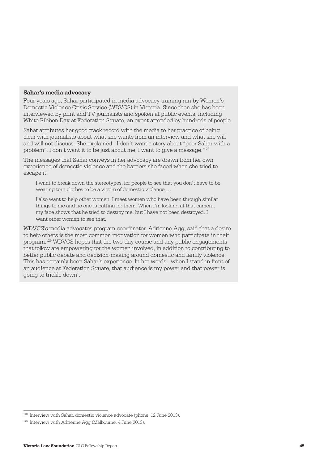#### **Sahar's media advocacy**

Four years ago, Sahar participated in media advocacy training run by Women's Domestic Violence Crisis Service (WDVCS) in Victoria. Since then she has been interviewed by print and TV journalists and spoken at public events, including White Ribbon Day at Federation Square, an event attended by hundreds of people.

Sahar attributes her good track record with the media to her practice of being clear with journalists about what she wants from an interview and what she will and will not discuss. She explained, 'I don't want a story about "poor Sahar with a problem". I don't want it to be just about me, I want to give a message.'128

The messages that Sahar conveys in her advocacy are drawn from her own experience of domestic violence and the barriers she faced when she tried to escape it:

I want to break down the stereotypes, for people to see that you don't have to be wearing torn clothes to be a victim of domestic violence …

I also want to help other women. I meet women who have been through similar things to me and no one is batting for them. When I'm looking at that camera, my face shows that he tried to destroy me, but I have not been destroyed. I want other women to see that.

WDVCS's media advocates program coordinator, Adrienne Agg, said that a desire to help others is the most common motivation for women who participate in their program.129 WDVCS hopes that the two-day course and any public engagements that follow are empowering for the women involved, in addition to contributing to better public debate and decision-making around domestic and family violence. This has certainly been Sahar's experience. In her words, 'when I stand in front of an audience at Federation Square, that audience is my power and that power is going to trickle down'.

<sup>128</sup> Interview with Sahar, domestic violence advocate (phone, 12 June 2013).

<sup>129</sup> Interview with Adrienne Agg (Melbourne, 4 June 2013).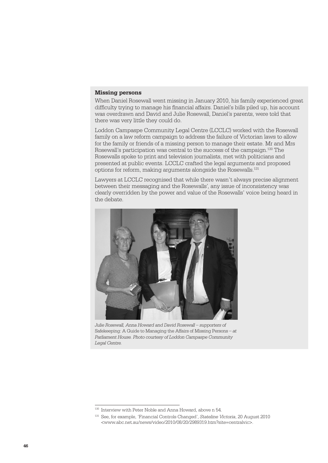#### **Missing persons**

When Daniel Rosewall went missing in January 2010, his family experienced great difficulty trying to manage his financial affairs. Daniel's bills piled up, his account was overdrawn and David and Julie Rosewall, Daniel's parents, were told that there was very little they could do.

Loddon Campaspe Community Legal Centre (LCCLC) worked with the Rosewall family on a law reform campaign to address the failure of Victorian laws to allow for the family or friends of a missing person to manage their estate. Mr and Mrs Rosewall's participation was central to the success of the campaign.130 The Rosewalls spoke to print and television journalists, met with politicians and presented at public events. LCCLC crafted the legal arguments and proposed options for reform, making arguments alongside the Rosewalls.131

Lawyers at LCCLC recognised that while there wasn't always precise alignment between their messaging and the Rosewalls', any issue of inconsistency was clearly overridden by the power and value of the Rosewalls' voice being heard in the debate.



*Julie Rosewall, Anna Howard and David Rosewall – supporters of*  Safekeeping: A Guide to Managing the Affairs of Missing Persons *– at Parliament House. Photo courtesy of Loddon Campaspe Community Legal Centre.*

<sup>130</sup> Interview with Peter Noble and Anna Howard, above n 54.

<sup>131</sup> See, for example, 'Financial Controls Changed', *Stateline Victoria*, 20 August 2010 <[www.abc.net.au/news/video/2010/08/20/2989319.htm?site=centralvic](http://www.abc.net.au/news/video/2010/08/20/2989319.htm?site=centralvic)>.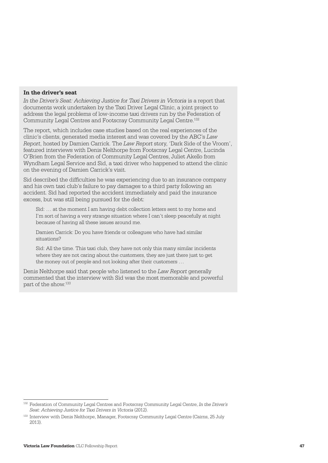#### **In the driver's seat**

In the Driver's Seat: Achieving Justice for Taxi Drivers in Victoria is a report that documents work undertaken by the Taxi Driver Legal Clinic, a joint project to address the legal problems of low-income taxi drivers run by the Federation of Community Legal Centres and Footscray Community Legal Centre.132

The report, which includes case studies based on the real experiences of the clinic's clients, generated media interest and was covered by the ABC's *Law Report*, hosted by Damien Carrick. The *Law Report* story, 'Dark Side of the Vroom', featured interviews with Denis Nelthorpe from Footscray Legal Centre, Lucinda O'Brien from the Federation of Community Legal Centres, Juliet Akello from Wyndham Legal Service and Sid, a taxi driver who happened to attend the clinic on the evening of Damien Carrick's visit.

Sid described the difficulties he was experiencing due to an insurance company and his own taxi club's failure to pay damages to a third party following an accident. Sid had reported the accident immediately and paid the insurance excess, but was still being pursued for the debt:

Sid: … at the moment I am having debt collection letters sent to my home and I'm sort of having a very strange situation where I can't sleep peacefully at night because of having all these issues around me.

Damien Carrick: Do you have friends or colleagues who have had similar situations?

Sid: All the time. This taxi club, they have not only this many similar incidents where they are not caring about the customers, they are just there just to get the money out of people and not looking after their customers …

Denis Nelthorpe said that people who listened to the *Law Report* generally commented that the interview with Sid was the most memorable and powerful part of the show.<sup>133</sup>

<sup>132</sup> Federation of Community Legal Centres and Footscray Community Legal Centre, *In the Driver's Seat: Achieving Justice for Taxi Drivers in Victoria* (2012).

<sup>133</sup> Interview with Denis Nelthorpe, Manager, Footscray Community Legal Centre (Cairns, 25 July 2013).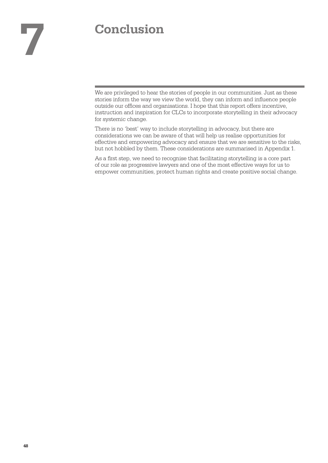# <span id="page-49-0"></span>**7 Conclusion**

We are privileged to hear the stories of people in our communities. Just as these stories inform the way we view the world, they can inform and influence people outside our offices and organisations. I hope that this report offers incentive, instruction and inspiration for CLCs to incorporate storytelling in their advocacy for systemic change.

There is no 'best' way to include storytelling in advocacy, but there are considerations we can be aware of that will help us realise opportunities for effective and empowering advocacy and ensure that we are sensitive to the risks, but not hobbled by them. These considerations are summarised in Appendix 1.

As a first step, we need to recognise that facilitating storytelling is a core part of our role as progressive lawyers and one of the most effective ways for us to empower communities, protect human rights and create positive social change.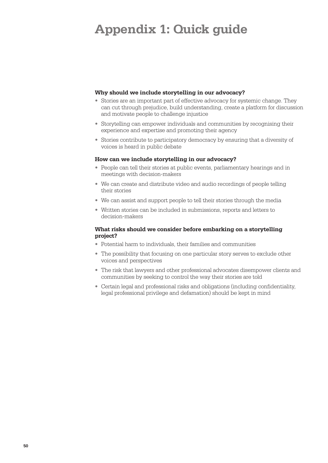## <span id="page-51-0"></span>**Appendix 1: Quick guide**

#### **Why should we include storytelling in our advocacy?**

- Stories are an important part of effective advocacy for systemic change. They can cut through prejudice, build understanding, create a platform for discussion and motivate people to challenge injustice
- Storytelling can empower individuals and communities by recognising their experience and expertise and promoting their agency
- Stories contribute to participatory democracy by ensuring that a diversity of voices is heard in public debate

#### **How can we include storytelling in our advocacy?**

- People can tell their stories at public events, parliamentary hearings and in meetings with decision-makers
- We can create and distribute video and audio recordings of people telling their stories
- We can assist and support people to tell their stories through the media
- Written stories can be included in submissions, reports and letters to decision-makers

#### **What risks should we consider before embarking on a storytelling project?**

- Potential harm to individuals, their families and communities
- The possibility that focusing on one particular story serves to exclude other voices and perspectives
- The risk that lawyers and other professional advocates disempower clients and communities by seeking to control the way their stories are told
- Certain legal and professional risks and obligations (including confidentiality, legal professional privilege and defamation) should be kept in mind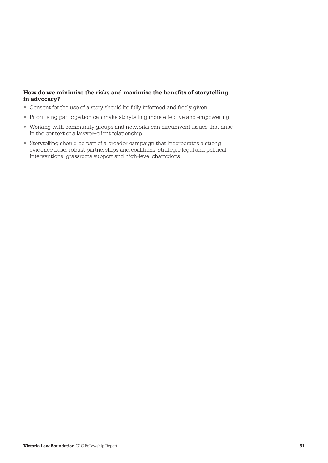#### **How do we minimise the risks and maximise the benefits of storytelling in advocacy?**

- Consent for the use of a story should be fully informed and freely given
- Prioritising participation can make storytelling more effective and empowering
- Working with community groups and networks can circumvent issues that arise in the context of a lawyer–client relationship
- Storytelling should be part of a broader campaign that incorporates a strong evidence base, robust partnerships and coalitions, strategic legal and political interventions, grassroots support and high-level champions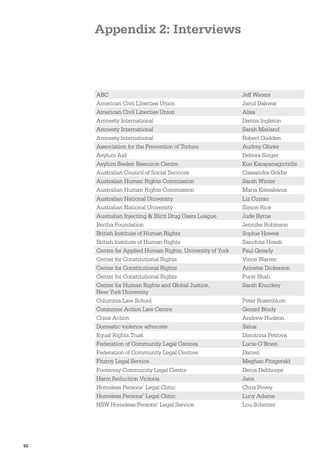## <span id="page-53-0"></span>**Appendix 2: Interviews**

| <b>ABC</b>                                                         | <b>Jeff Waters</b>    |
|--------------------------------------------------------------------|-----------------------|
| American Civil Liberties Union                                     | Jamil Dakwar          |
| American Civil Liberties Union                                     | Alisa                 |
| Amnesty International                                              | Danna Ingleton        |
| Amnesty International                                              | Sarah Marland         |
| Amnesty International                                              | Robert Godden         |
| Association for the Prevention of Torture                          | <b>Audrey Olivier</b> |
| Asylum Aid                                                         | Debora Singer         |
| Asylum Seeker Resource Centre                                      | Kon Karapanagiotidis  |
| Australian Council of Social Services                              | Cassandra Goldie      |
| Australian Human Rights Commission                                 | Sarah Winter          |
| Australian Human Rights Commission                                 | Maria Katsabanis      |
| Australian National University                                     | Liz Curran            |
| Australian National University                                     | Simon Rice            |
| Australian Injecting & Illicit Drug Users League                   | Jude Byrne            |
| Bertha Foundation                                                  | Jennifer Robinson     |
| British Institute of Human Rights                                  | Sophie Howes          |
| British Institute of Human Rights                                  | Sanchita Hosali       |
| Centre for Applied Human Rights, University of York                | Paul Gready           |
| Center for Constitutional Rights                                   | Vince Warren          |
| Center for Constitutional Rights                                   | Annette Dickerson     |
| Center for Constitutional Rights                                   | Purvi Shah            |
| Center for Human Rights and Global Justice,<br>New York University | Sarah Knuckey         |
| Columbia Law School                                                | Peter Rosenblum       |
| <b>Consumer Action Law Centre</b>                                  | Gerard Brody          |
| Crisis Action                                                      | Andrew Hudson         |
| Domestic violence advocate                                         | Sahar                 |
| Equal Rights Trust                                                 | Dimitrina Petrova     |
| Federation of Community Legal Centres                              | Lucie O'Brien         |
| Federation of Community Legal Centres                              | Darren                |
| <b>Fitzroy Legal Service</b>                                       | Meghan Fitzgerald     |
| Footscray Community Legal Centre                                   | Denis Nelthorpe       |
| Harm Reduction Victoria                                            | Jane                  |
| Homeless Persons' Legal Clinic                                     | Chris Povey           |
| Homeless Persons' Legal Clinic                                     | Lucy Adams            |
| NSW Homeless Persons' Legal Service                                | Lou Schetzer          |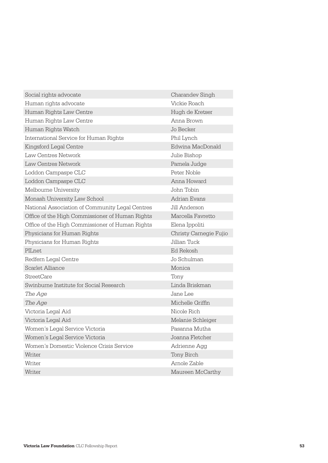| Social rights advocate                          | Charandev Singh        |  |
|-------------------------------------------------|------------------------|--|
| Human rights advocate                           | Vickie Roach           |  |
| Human Rights Law Centre                         | Hugh de Kretser        |  |
| Human Rights Law Centre                         | Anna Brown             |  |
| Human Rights Watch                              | Jo Becker              |  |
| International Service for Human Rights          | Phil Lynch             |  |
| Kingsford Legal Centre                          | Edwina MacDonald       |  |
| Law Centres Network                             | Julie Bishop           |  |
| Law Centres Network                             | Pamela Judge           |  |
| Loddon Campaspe CLC                             | Peter Noble            |  |
| Loddon Campaspe CLC                             | Anna Howard            |  |
| Melbourne University                            | John Tobin             |  |
| Monash University Law School                    | Adrian Evans           |  |
| National Association of Community Legal Centres | Jill Anderson          |  |
| Office of the High Commissioner of Human Rights | Marcella Favretto      |  |
| Office of the High Commissioner of Human Rights | Elena Ippoliti         |  |
| Physicians for Human Rights                     | Christy Carnegie Fujio |  |
| Physicians for Human Rights                     | Jillian Tuck           |  |
| PILnet                                          | Ed Rekosh              |  |
| Redfern Legal Centre                            | Jo Schulman            |  |
| Scarlet, Alliance                               | Monica                 |  |
| <b>StreetCare</b>                               | Tony                   |  |
| Swinburne Institute for Social Research         | Linda Briskman         |  |
| The Age                                         | Jane Lee               |  |
| The Age                                         | Michelle Griffin       |  |
| Victoria Legal Aid                              | Nicole Rich            |  |
| Victoria Legal Aid                              | Melanie Schleiger      |  |
| Women's Legal Service Victoria                  | Pasanna Mutha          |  |
| Women's Legal Service Victoria                  | Joanna Fletcher        |  |
| Women's Domestic Violence Crisis Service        | Adrienne Agg           |  |
| Writer                                          | Tony Birch             |  |
| Writer                                          | Arnole Zable           |  |
| Writer                                          | Maureen McCarthy       |  |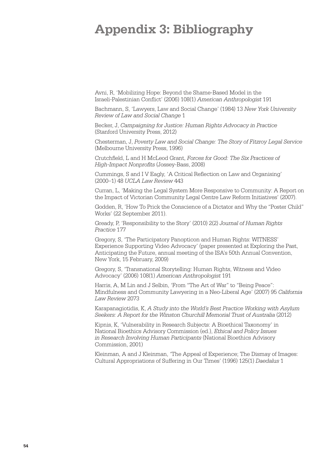## <span id="page-55-0"></span>**Appendix 3: Bibliography**

Avni, R, 'Mobilizing Hope: Beyond the Shame-Based Model in the Israeli-Palestinian Conflict' (2006) 108(1) *American Anthropologist* 191

Bachmann, S, 'Lawyers, Law and Social Change' (1984) 13 *New York University Review of Law and Social Change* 1

Becker, J, *Campaigning for Justice: Human Rights Advocacy in Practice* (Stanford University Press, 2012)

Chesterman, J, *Poverty Law and Social Change: The Story of Fitzroy Legal Service* (Melbourne University Press, 1996)

Crutchfield, L and H McLeod Grant, *Forces for Good: The Six Practices of High-Impact Nonprofits* (Jossey-Bass, 2008)

Cummings, S and I V Eagly, 'A Critical Reflection on Law and Organising' (2000–1) 48 *UCLA Law Review* 443

Curran, L, 'Making the Legal System More Responsive to Community: A Report on the Impact of Victorian Community Legal Centre Law Reform Initiatives' (2007).

Godden, R, 'How To Prick the Conscience of a Dictator and Why the "Poster Child" Works' (22 September 2011).

Gready, P, 'Responsibility to the Story' (2010) 2(2) *Journal of Human Rights Practice* 177

Gregory, S, 'The Participatory Panopticon and Human Rights: WITNESS' Experience Supporting Video Advocacy' (paper presented at Exploring the Past, Anticipating the Future, annual meeting of the ISA's 50th Annual Convention, New York, 15 February, 2009)

Gregory, S, 'Transnational Storytelling: Human Rights, Witness and Video Advocacy' (2006) 108(1) *American Anthropologist* 191

Harris, A, M Lin and J Selbin, 'From "The Art of War" to "Being Peace": Mindfulness and Community Lawyering in a Neo-Liberal Age' (2007) 95 *California Law Review* 2073

Karapanagiotidis, K, *A Study into the World's Best Practice Working with Asylum Seekers: A Report for the Winston Churchill Memorial Trust of Australia* (2012)

Kipnis, K, 'Vulnerability in Research Subjects: A Bioethical Taxonomy' in National Bioethics Advisory Commission (ed.), *Ethical and Policy Issues in Research Involving Human Participants* (National Bioethics Advisory Commission, 2001)

Kleinman, A and J Kleinman, 'The Appeal of Experience; The Dismay of Images: Cultural Appropriations of Suffering in Our Times' (1996) 125(1) *Daedalus* 1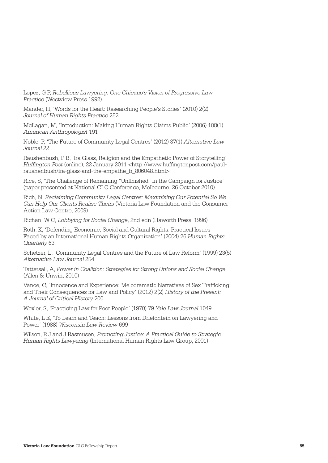Lopez, G P, *Rebellious Lawyering: One Chicano's Vision of Progressive Law Practice* (Westview Press 1992)

Mander, H, 'Words for the Heart: Researching People's Stories' (2010) 2(2) *Journal of Human Rights Practice* 252

McLagan, M, 'Introduction: Making Human Rights Claims Public' (2006) 108(1) *American Anthropologist* 191

Noble, P, 'The Future of Community Legal Centres' (2012) 37(1) *Alternative Law Journal* 22

Raushenbush, P B, 'Ira Glass, Religion and the Empathetic Power of Storytelling' *Huffington Post* (online), 22 January 2011 [<http://www.huffingtonpost.com/paul](http://www.huffingtonpost.com/paul-raushenbush/ira-glass-and-the-empathe_b_806048.html)[raushenbush/ira-glass-and-the-empathe\\_b\\_806048.html>](http://www.huffingtonpost.com/paul-raushenbush/ira-glass-and-the-empathe_b_806048.html) 

Rice, S, 'The Challenge of Remaining "Unfinished" in the Campaign for Justice' (paper presented at National CLC Conference, Melbourne, 26 October 2010)

Rich, N, *Reclaiming Community Legal Centres: Maximising Our Potential So We Can Help Our Clients Realise Theirs* (Victoria Law Foundation and the Consumer Action Law Centre, 2009)

Richan, W C, *Lobbying for Social Change*, 2nd edn (Haworth Press, 1996)

Roth, K, 'Defending Economic, Social and Cultural Rights: Practical Issues Faced by an International Human Rights Organization' (2004) 26 *Human Rights Quarterly* 63

Schetzer, L, 'Community Legal Centres and the Future of Law Reform' (1999) 23(5) *Alternative Law Journal* 254

Tattersall, A, *Power in Coalition: Strategies for Strong Unions and Social Change*   $(A$ llen & Unwin, 2010)

Vance, C, 'Innocence and Experience: Melodramatic Narratives of Sex Trafficking and Their Consequences for Law and Policy' (2012) 2(2) *History of the Present: A Journal of Critical History* 200.

Wexler, S, 'Practicing Law for Poor People' (1970) 79 *Yale Law Journal* 1049

White, L E, 'To Learn and Teach: Lessons from Driefontein on Lawyering and Power' (1988) *Wisconsin Law Review* 699

Wilson, R J and J Rasmusen, *Promoting Justice: A Practical Guide to Strategic Human Rights Lawyering* (International Human Rights Law Group, 2001)